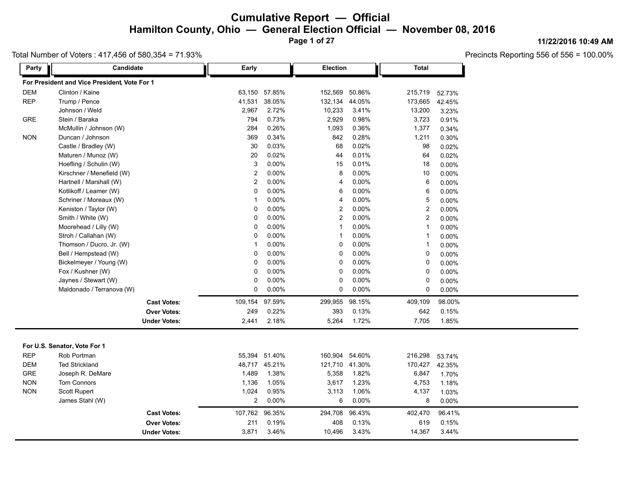**Page 1 of 27**

### Total Number of Voters : 417,456 of 580,354 = 71.93%

Precincts Reporting 556 of 556 = 100.00%

**11/22/2016 10:49 AM**

| Party      | Candidate                                    |                     | Early          |               | Election                |                | <b>Total</b>   |          |
|------------|----------------------------------------------|---------------------|----------------|---------------|-------------------------|----------------|----------------|----------|
|            | For President and Vice President, Vote For 1 |                     |                |               |                         |                |                |          |
| <b>DEM</b> | Clinton / Kaine                              |                     | 63,150         | 57.85%        | 152,569                 | 50.86%         | 215,719        | 52.73%   |
| <b>REP</b> | Trump / Pence                                |                     | 41,531         | 38.05%        | 132,134                 | 44.05%         | 173,665        | 42.45%   |
|            | Johnson / Weld                               |                     | 2,967          | 2.72%         | 10,233                  | 3.41%          | 13,200         | 3.23%    |
| GRE        | Stein / Baraka                               |                     | 794            | 0.73%         | 2,929                   | 0.98%          | 3,723          | 0.91%    |
|            | McMullin / Johnson (W)                       |                     | 284            | 0.26%         | 1,093                   | 0.36%          | 1,377          | 0.34%    |
| <b>NON</b> | Duncan / Johnson                             |                     | 369            | 0.34%         | 842                     | 0.28%          | 1,211          | 0.30%    |
|            | Castle / Bradley (W)                         |                     | 30             | 0.03%         | 68                      | 0.02%          | 98             | 0.02%    |
|            | Maturen / Munoz (W)                          |                     | 20             | 0.02%         | 44                      | 0.01%          | 64             | 0.02%    |
|            | Hoefling / Schulin (W)                       |                     | 3              | 0.00%         | 15                      | 0.01%          | 18             | 0.00%    |
|            | Kirschner / Menefield (W)                    |                     | $\overline{2}$ | 0.00%         | 8                       | 0.00%          | 10             | 0.00%    |
|            | Hartnell / Marshall (W)                      |                     | $\overline{c}$ | 0.00%         | $\overline{\mathbf{4}}$ | 0.00%          | 6              | 0.00%    |
|            | Kotlikoff / Leamer (W)                       |                     | 0              | 0.00%         | 6                       | 0.00%          | 6              | 0.00%    |
|            | Schriner / Moreaux (W)                       |                     | 1              | 0.00%         | 4                       | 0.00%          | 5              | $0.00\%$ |
|            | Keniston / Taylor (W)                        |                     | 0              | 0.00%         | $\overline{2}$          | 0.00%          | $\overline{c}$ | $0.00\%$ |
|            | Smith / White (W)                            |                     | 0              | 0.00%         | $\overline{2}$          | 0.00%          | 2              | $0.00\%$ |
|            | Moorehead / Lilly (W)                        |                     | 0              | 0.00%         | $\mathbf{1}$            | 0.00%          | -1             | $0.00\%$ |
|            | Stroh / Callahan (W)                         |                     | 0              | 0.00%         | $\mathbf{1}$            | 0.00%          |                | 0.00%    |
|            | Thomson / Ducro, Jr. (W)                     |                     | 1              | 0.00%         | $\mathbf 0$             | 0.00%          | -1             | 0.00%    |
|            | Bell / Hempstead (W)                         |                     | $\Omega$       | 0.00%         | $\mathbf 0$             | 0.00%          | $\Omega$       | 0.00%    |
|            | Bickelmeyer / Young (W)                      |                     | 0              | 0.00%         | $\mathbf 0$             | 0.00%          | 0              | 0.00%    |
|            | Fox / Kushner (W)                            |                     | $\mathbf 0$    | 0.00%         | 0                       | 0.00%          | 0              | 0.00%    |
|            | Jaynes / Stewart (W)                         |                     | $\mathbf 0$    | 0.00%         | $\mathbf 0$             | 0.00%          | 0              | 0.00%    |
|            | Maldonado / Terranova (W)                    |                     | 0              | 0.00%         | 0                       | $0.00\%$       | 0              | 0.00%    |
|            |                                              | <b>Cast Votes:</b>  | 109,154        | 97.59%        | 299,955                 | 98.15%         | 409,109        | 98.00%   |
|            |                                              | <b>Over Votes:</b>  | 249            | 0.22%         | 393                     | 0.13%          | 642            | 0.15%    |
|            |                                              | <b>Under Votes:</b> | 2,441          | 2.18%         | 5,264                   | 1.72%          | 7,705          | 1.85%    |
|            |                                              |                     |                |               |                         |                |                |          |
|            | For U.S. Senator, Vote For 1                 |                     |                |               |                         |                |                |          |
| <b>REP</b> | Rob Portman                                  |                     |                | 55,394 51.40% |                         | 160,904 54.60% | 216,298        | 53.74%   |
| <b>DEM</b> | <b>Ted Strickland</b>                        |                     | 48,717         | 45.21%        |                         | 121,710 41.30% | 170,427        | 42.35%   |
| <b>GRE</b> | Joseph R. DeMare                             |                     | 1,489          | 1.38%         | 5,358                   | 1.82%          | 6,847          | 1.70%    |
| <b>NON</b> | Tom Connors                                  |                     | 1,136          | 1.05%         | 3,617                   | 1.23%          | 4,753          | 1.18%    |
| <b>NON</b> | <b>Scott Rupert</b>                          |                     | 1,024          | 0.95%         | 3,113                   | 1.06%          | 4,137          | 1.03%    |
|            | James Stahl (W)                              |                     | $\overline{c}$ | 0.00%         | 6                       | 0.00%          | 8              | 0.00%    |
|            |                                              | <b>Cast Votes:</b>  | 107,762        | 96.35%        | 294,708                 | 96.43%         | 402,470        | 96.41%   |
|            |                                              | <b>Over Votes:</b>  | 211            | 0.19%         | 408                     | 0.13%          | 619            | 0.15%    |
|            |                                              | <b>Under Votes:</b> | 3,871          | 3.46%         | 10,496                  | 3.43%          | 14,367         | 3.44%    |
|            |                                              |                     |                |               |                         |                |                |          |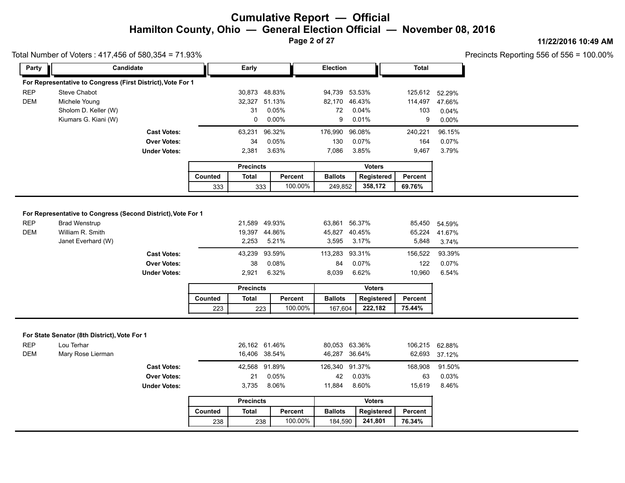**Page 2 of 27**

### **11/22/2016 10:49 AM**

|            |                                                                                 |                                                                 |         |                                  |                          |                                |                             |                          |                          | Precincts Reporting 556 of 556 = |
|------------|---------------------------------------------------------------------------------|-----------------------------------------------------------------|---------|----------------------------------|--------------------------|--------------------------------|-----------------------------|--------------------------|--------------------------|----------------------------------|
| Party      | Candidate                                                                       |                                                                 |         | Early                            |                          | Election                       |                             | <b>Total</b>             |                          |                                  |
|            | For Representative to Congress (First District), Vote For 1                     |                                                                 |         |                                  |                          |                                |                             |                          |                          |                                  |
| <b>REP</b> | Steve Chabot                                                                    |                                                                 |         | 30,873 48.83%                    |                          | 94,739 53.53%                  |                             | 125,612                  | 52.29%                   |                                  |
| <b>DEM</b> | Michele Young                                                                   |                                                                 |         | 32,327 51.13%                    |                          | 82,170                         | 46.43%                      | 114,497                  | 47.66%                   |                                  |
|            | Sholom D. Keller (W)                                                            |                                                                 |         | 31                               | 0.05%                    | 72                             | 0.04%                       | 103                      | 0.04%                    |                                  |
|            | Kiumars G. Kiani (W)                                                            |                                                                 |         | $\mathsf 0$                      | $0.00\%$                 | 9                              | 0.01%                       | 9                        | 0.00%                    |                                  |
|            |                                                                                 | <b>Cast Votes:</b>                                              |         | 63,231                           | 96.32%                   | 176,990                        | 96.08%                      | 240,221                  | 96.15%                   |                                  |
|            |                                                                                 | <b>Over Votes:</b>                                              |         | 34                               | 0.05%                    | 130                            | 0.07%                       | 164                      | 0.07%                    |                                  |
|            |                                                                                 | <b>Under Votes:</b>                                             |         | 2,381                            | 3.63%                    | 7,086                          | 3.85%                       | 9,467                    | 3.79%                    |                                  |
|            |                                                                                 |                                                                 |         | <b>Precincts</b>                 |                          |                                | <b>Voters</b>               |                          |                          |                                  |
|            |                                                                                 |                                                                 | Counted | <b>Total</b>                     | Percent                  | <b>Ballots</b>                 | Registered                  | Percent                  |                          |                                  |
|            |                                                                                 |                                                                 | 333     | 333                              | 100.00%                  | 249,852                        | 358,172                     | 69.76%                   |                          |                                  |
|            | Janet Everhard (W)                                                              |                                                                 |         | 2,253                            | 5.21%                    | 3,595                          | 3.17%                       | 5,848                    | 3.74%                    |                                  |
|            |                                                                                 | <b>Cast Votes:</b><br><b>Over Votes:</b><br><b>Under Votes:</b> |         | 43,239<br>38<br>2,921            | 93.59%<br>0.08%<br>6.32% | 113,283<br>84<br>8,039         | 93.31%<br>0.07%<br>6.62%    | 156,522<br>122<br>10,960 | 93.39%<br>0.07%<br>6.54% |                                  |
|            |                                                                                 |                                                                 |         | <b>Precincts</b>                 |                          |                                | <b>Voters</b>               |                          |                          |                                  |
|            |                                                                                 |                                                                 | Counted | <b>Total</b>                     | Percent                  | <b>Ballots</b>                 | Registered                  | Percent                  |                          |                                  |
|            |                                                                                 |                                                                 | 223     | 223                              | 100.00%                  | 167,604                        | 222,182                     | 75.44%                   |                          |                                  |
|            | For State Senator (8th District), Vote For 1<br>Lou Terhar<br>Mary Rose Lierman |                                                                 |         | 26,162 61.46%<br>16,406 38.54%   |                          | 80,053 63.36%<br>46,287 36.64% |                             | 106,215<br>62,693        | 62.88%<br>37.12%         |                                  |
| <b>DEM</b> |                                                                                 | <b>Cast Votes:</b>                                              |         | 42,568 91.89%                    |                          | 126,340                        | 91.37%                      | 168,908                  | 91.50%                   |                                  |
|            |                                                                                 | <b>Over Votes:</b>                                              |         | 21                               | 0.05%                    | 42                             | 0.03%                       | 63                       | 0.03%                    |                                  |
|            |                                                                                 | <b>Under Votes:</b>                                             |         | 3,735                            | 8.06%                    | 11,884                         | 8.60%                       | 15,619                   | 8.46%                    |                                  |
|            |                                                                                 |                                                                 |         |                                  |                          |                                |                             |                          |                          |                                  |
| <b>REP</b> |                                                                                 |                                                                 | Counted | <b>Precincts</b><br><b>Total</b> | Percent                  | <b>Ballots</b>                 | <b>Voters</b><br>Registered | Percent                  |                          |                                  |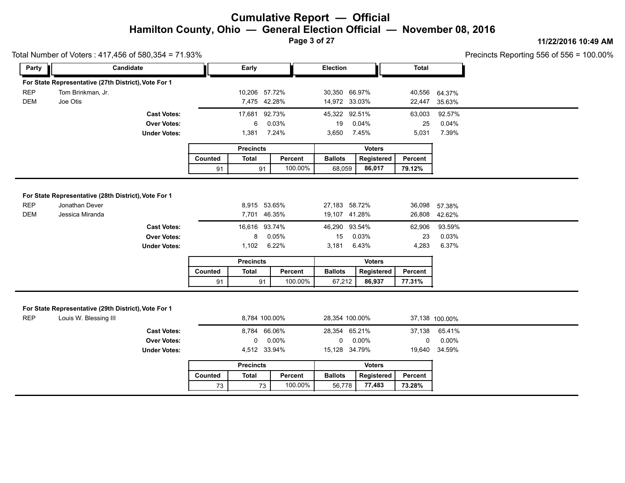**Page 3 of 27**

### **11/22/2016 10:49 AM**

| Precincts Reporting 556 of 556 = $100.00\%$ |  |
|---------------------------------------------|--|
|---------------------------------------------|--|

|            | Total Number of Voters: 417,456 of 580,354 = 71.93%                           |                                                                 |               |                             |                |                              |                |                       |                          | Precincts Reporting 556 of 556 = |
|------------|-------------------------------------------------------------------------------|-----------------------------------------------------------------|---------------|-----------------------------|----------------|------------------------------|----------------|-----------------------|--------------------------|----------------------------------|
| Party      | Candidate                                                                     |                                                                 |               | Early                       |                | Election                     |                | <b>Total</b>          |                          |                                  |
|            | For State Representative (27th District), Vote For 1                          |                                                                 |               |                             |                |                              |                |                       |                          |                                  |
| <b>REP</b> | Tom Brinkman, Jr.                                                             |                                                                 |               | 10,206 57.72%               |                | 30,350 66.97%                |                | 40,556                | 64.37%                   |                                  |
| <b>DEM</b> | Joe Otis                                                                      |                                                                 |               | 7,475 42.28%                |                | 14,972 33.03%                |                | 22,447                | 35.63%                   |                                  |
|            |                                                                               | <b>Cast Votes:</b>                                              |               | 17,681 92.73%               |                | 45,322 92.51%                |                | 63,003                | 92.57%                   |                                  |
|            |                                                                               | <b>Over Votes:</b>                                              |               | 6                           | 0.03%          | 19                           | 0.04%          | 25                    | 0.04%                    |                                  |
|            |                                                                               | <b>Under Votes:</b>                                             |               | 1,381                       | 7.24%          | 3,650                        | 7.45%          | 5,031                 | 7.39%                    |                                  |
|            |                                                                               |                                                                 |               | <b>Precincts</b>            |                |                              | <b>Voters</b>  |                       |                          |                                  |
|            |                                                                               |                                                                 | Counted       | <b>Total</b>                | Percent        | <b>Ballots</b>               | Registered     | Percent               |                          |                                  |
|            |                                                                               |                                                                 | 91            | 91                          | 100.00%        | 68,059                       | 86,017         | 79.12%                |                          |                                  |
|            |                                                                               | <b>Cast Votes:</b><br><b>Over Votes:</b><br><b>Under Votes:</b> |               | 16,616 93.74%<br>8<br>1,102 | 0.05%<br>6.22% | 46,290 93.54%<br>15<br>3,181 | 0.03%<br>6.43% | 62,906<br>23<br>4,283 | 93.59%<br>0.03%<br>6.37% |                                  |
|            |                                                                               |                                                                 |               | <b>Precincts</b>            |                |                              | <b>Voters</b>  |                       |                          |                                  |
|            |                                                                               |                                                                 | Counted       | Total                       | Percent        | <b>Ballots</b>               | Registered     | Percent               |                          |                                  |
|            |                                                                               |                                                                 | 91            | 91                          | 100.00%        | 67,212                       | 86,937         | 77.31%                |                          |                                  |
| <b>REP</b> | For State Representative (29th District), Vote For 1<br>Louis W. Blessing III |                                                                 | 8,784 100.00% |                             |                | 28,354 100.00%               |                |                       | 37,138 100.00%           |                                  |
|            |                                                                               | <b>Cast Votes:</b>                                              |               | 8,784 66.06%                |                | 28,354 65.21%                |                | 37,138                | 65.41%                   |                                  |
|            |                                                                               | <b>Over Votes:</b>                                              |               | 0                           | $0.00\%$       |                              | $0 0.00\%$     | $\mathbf 0$           | $0.00\%$                 |                                  |
|            |                                                                               | <b>Under Votes:</b>                                             |               | 4,512 33.94%                |                | 15,128 34.79%                |                |                       | 19,640 34.59%            |                                  |
|            |                                                                               |                                                                 |               |                             |                |                              |                |                       |                          |                                  |
|            |                                                                               |                                                                 |               | <b>Precincts</b>            |                |                              | <b>Voters</b>  |                       |                          |                                  |
|            |                                                                               |                                                                 | Counted       | <b>Total</b>                | Percent        | <b>Ballots</b>               | Registered     | Percent               |                          |                                  |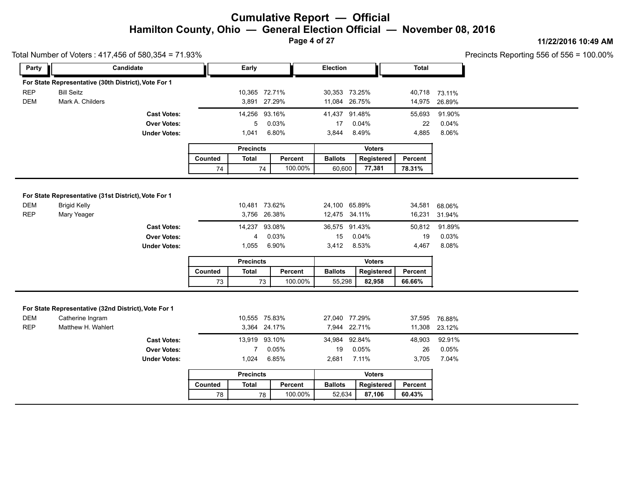**Page 4 of 27**

### **11/22/2016 10:49 AM**

| Precincts Reporting 556 of 556 = $100.00\%$ |
|---------------------------------------------|
|---------------------------------------------|

|                          | Total Number of Voters: 417,456 of 580,354 = 71.93%                                            |                                                                 |         |                               |                |                               |                |                       |                          |  |
|--------------------------|------------------------------------------------------------------------------------------------|-----------------------------------------------------------------|---------|-------------------------------|----------------|-------------------------------|----------------|-----------------------|--------------------------|--|
| Party                    | Candidate                                                                                      |                                                                 |         | Early                         |                | Election                      |                | <b>Total</b>          |                          |  |
|                          | For State Representative (30th District), Vote For 1                                           |                                                                 |         |                               |                |                               |                |                       |                          |  |
| <b>REP</b>               | <b>Bill Seitz</b>                                                                              |                                                                 |         | 10,365 72.71%                 |                | 30,353 73.25%                 |                | 40,718                | 73.11%                   |  |
| <b>DEM</b>               | Mark A. Childers                                                                               |                                                                 |         | 3,891 27.29%                  |                | 11,084 26.75%                 |                | 14,975                | 26.89%                   |  |
|                          |                                                                                                | <b>Cast Votes:</b>                                              |         | 14,256 93.16%                 |                | 41,437 91.48%                 |                | 55,693                | 91.90%                   |  |
|                          |                                                                                                | <b>Over Votes:</b>                                              |         | 5                             | 0.03%          | 17                            | 0.04%          | 22                    | 0.04%                    |  |
|                          |                                                                                                | <b>Under Votes:</b>                                             |         | 1,041                         | 6.80%          | 3,844                         | 8.49%          | 4,885                 | 8.06%                    |  |
|                          |                                                                                                |                                                                 |         | <b>Precincts</b>              |                |                               | <b>Voters</b>  |                       |                          |  |
|                          |                                                                                                |                                                                 | Counted | <b>Total</b>                  | Percent        | <b>Ballots</b>                | Registered     | Percent               |                          |  |
|                          |                                                                                                |                                                                 | 74      | 74                            | 100.00%        | 60,600                        | 77,381         | 78.31%                |                          |  |
|                          |                                                                                                | <b>Cast Votes:</b><br><b>Over Votes:</b><br><b>Under Votes:</b> |         | 14,237 93.08%<br>4<br>1,055   | 0.03%<br>6.90% | 36,575 91.43%<br>15<br>3,412  | 0.04%<br>8.53% | 50,812<br>19<br>4,467 | 91.89%<br>0.03%<br>8.08% |  |
|                          |                                                                                                |                                                                 |         |                               |                |                               |                |                       |                          |  |
|                          |                                                                                                |                                                                 |         | <b>Precincts</b>              |                |                               | <b>Voters</b>  |                       |                          |  |
|                          |                                                                                                |                                                                 | Counted | <b>Total</b>                  | Percent        | <b>Ballots</b>                | Registered     | <b>Percent</b>        |                          |  |
|                          |                                                                                                |                                                                 | 73      | 73                            | 100.00%        | 55,298                        | 82,958         | 66.66%                |                          |  |
|                          | For State Representative (32nd District), Vote For 1<br>Catherine Ingram<br>Matthew H. Wahlert |                                                                 |         | 10,555 75.83%<br>3,364 24.17% |                | 27,040 77.29%<br>7,944 22.71% |                | 11,308                | 37,595 76.88%<br>23.12%  |  |
|                          |                                                                                                | <b>Cast Votes:</b>                                              |         | 13,919 93.10%                 |                | 34,984 92.84%                 |                | 48,903                | 92.91%                   |  |
| <b>DEM</b><br><b>REP</b> |                                                                                                | <b>Over Votes:</b>                                              |         | $\mathbf{7}$                  | 0.05%          | 19                            | 0.05%          | 26                    | 0.05%                    |  |
|                          |                                                                                                | <b>Under Votes:</b>                                             |         | 1,024                         | 6.85%          | 2,681                         | 7.11%          | 3,705                 | 7.04%                    |  |
|                          |                                                                                                |                                                                 |         | <b>Precincts</b>              |                |                               | <b>Voters</b>  |                       |                          |  |
|                          |                                                                                                |                                                                 | Counted | <b>Total</b>                  | Percent        | <b>Ballots</b>                | Registered     | Percent               |                          |  |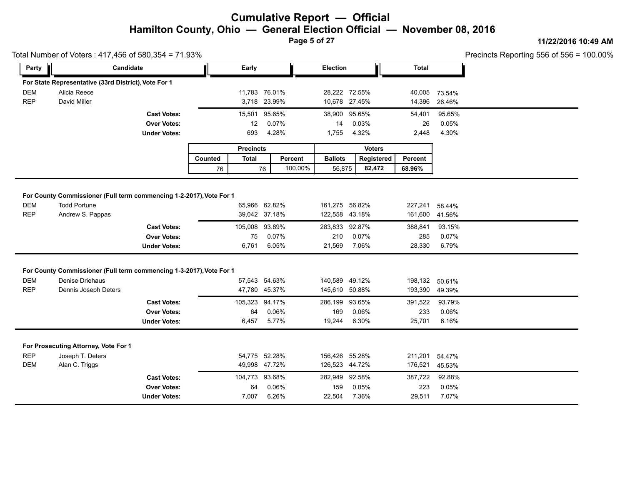**Page 5 of 27**

### **11/22/2016 10:49 AM**

|                          | Total Number of Voters: 417,456 of 580,354 = 71.93%                                        |                                           |         |                                |                |         |                                  |                |                    |                | Precincts Reporting 556 of 556 = |
|--------------------------|--------------------------------------------------------------------------------------------|-------------------------------------------|---------|--------------------------------|----------------|---------|----------------------------------|----------------|--------------------|----------------|----------------------------------|
| Party                    | Candidate                                                                                  |                                           |         | Early                          |                |         | Election                         |                | <b>Total</b>       |                |                                  |
|                          | For State Representative (33rd District), Vote For 1                                       |                                           |         |                                |                |         |                                  |                |                    |                |                                  |
| <b>DEM</b>               | Alicia Reece                                                                               |                                           |         | 11,783 76.01%                  |                |         | 28,222 72.55%                    |                | 40,005             | 73.54%         |                                  |
| <b>REP</b>               | David Miller                                                                               |                                           |         | 3,718 23.99%                   |                |         | 10,678 27.45%                    |                | 14,396             | 26.46%         |                                  |
|                          |                                                                                            | <b>Cast Votes:</b>                        |         | 15,501                         | 95.65%         |         | 38,900 95.65%                    |                | 54,401             | 95.65%         |                                  |
|                          |                                                                                            | <b>Over Votes:</b>                        |         | 12                             | 0.07%          |         | 14                               | 0.03%          | 26                 | 0.05%          |                                  |
|                          |                                                                                            | <b>Under Votes:</b>                       |         | 693                            | 4.28%          |         | 1,755                            | 4.32%          | 2,448              | 4.30%          |                                  |
|                          |                                                                                            |                                           |         | <b>Precincts</b>               |                |         |                                  | <b>Voters</b>  |                    |                |                                  |
|                          |                                                                                            |                                           | Counted | <b>Total</b>                   |                | Percent | <b>Ballots</b>                   | Registered     | Percent            |                |                                  |
|                          |                                                                                            |                                           | 76      |                                | 76             | 100.00% | 56,875                           | 82,472         | 68.96%             |                |                                  |
|                          |                                                                                            | <b>Cast Votes:</b>                        |         | 105,008 93.89%                 |                |         | 283,833 92.87%                   |                | 388,841            | 93.15%         |                                  |
| <b>DEM</b>               | For County Commissioner (Full term commencing 1-2-2017), Vote For 1<br><b>Todd Portune</b> |                                           |         | 65,966 62.82%                  |                |         | 161,275 56.82%                   |                | 227,241            | 58.44%         |                                  |
| <b>REP</b>               | Andrew S. Pappas                                                                           |                                           |         | 39,042 37.18%                  |                |         | 122,558 43.18%                   |                | 161,600            | 41.56%         |                                  |
|                          |                                                                                            |                                           |         |                                |                |         |                                  |                |                    |                |                                  |
|                          |                                                                                            | <b>Over Votes:</b>                        |         | 75                             | 0.07%          |         | 210                              | 0.07%          | 285                | 0.07%          |                                  |
|                          |                                                                                            | <b>Under Votes:</b>                       |         | 6,761                          | 6.05%          |         | 21,569                           | 7.06%          | 28,330             | 6.79%          |                                  |
|                          |                                                                                            |                                           |         |                                |                |         |                                  |                |                    |                |                                  |
|                          | For County Commissioner (Full term commencing 1-3-2017), Vote For 1                        |                                           |         |                                |                |         |                                  |                |                    |                |                                  |
| <b>DEM</b>               | Denise Driehaus                                                                            |                                           |         | 57,543 54.63%                  |                |         | 140,589 49.12%                   |                | 198,132            | 50.61%         |                                  |
| <b>REP</b>               | Dennis Joseph Deters                                                                       |                                           |         | 47,780 45.37%                  |                |         | 145,610 50.88%                   |                | 193,390            | 49.39%         |                                  |
|                          |                                                                                            | <b>Cast Votes:</b>                        |         | 105,323 94.17%                 |                |         | 286,199 93.65%                   |                | 391,522            | 93.79%         |                                  |
|                          |                                                                                            | <b>Over Votes:</b>                        |         | 64                             | 0.06%          |         | 169                              | 0.06%          | 233                | 0.06%          |                                  |
|                          |                                                                                            | <b>Under Votes:</b>                       |         | 6,457                          | 5.77%          |         | 19,244                           | 6.30%          | 25,701             | 6.16%          |                                  |
|                          |                                                                                            |                                           |         |                                |                |         |                                  |                |                    |                |                                  |
|                          | For Prosecuting Attorney, Vote For 1                                                       |                                           |         |                                |                |         |                                  |                |                    |                |                                  |
| <b>REP</b><br><b>DEM</b> | Joseph T. Deters<br>Alan C. Triggs                                                         |                                           |         | 54,775 52.28%<br>49,998 47.72% |                |         | 156,426 55.28%<br>126,523 44.72% |                | 211,201<br>176,521 | 54.47%         |                                  |
|                          |                                                                                            |                                           |         |                                |                |         |                                  |                |                    | 45.53%         |                                  |
|                          |                                                                                            | <b>Cast Votes:</b>                        |         | 104,773 93.68%                 |                |         | 282,949 92.58%                   |                | 387,722            | 92.88%         |                                  |
|                          |                                                                                            |                                           |         |                                |                |         |                                  |                |                    |                |                                  |
|                          |                                                                                            | <b>Over Votes:</b><br><b>Under Votes:</b> |         | 64<br>7,007                    | 0.06%<br>6.26% |         | 159<br>22,504                    | 0.05%<br>7.36% | 223<br>29,511      | 0.05%<br>7.07% |                                  |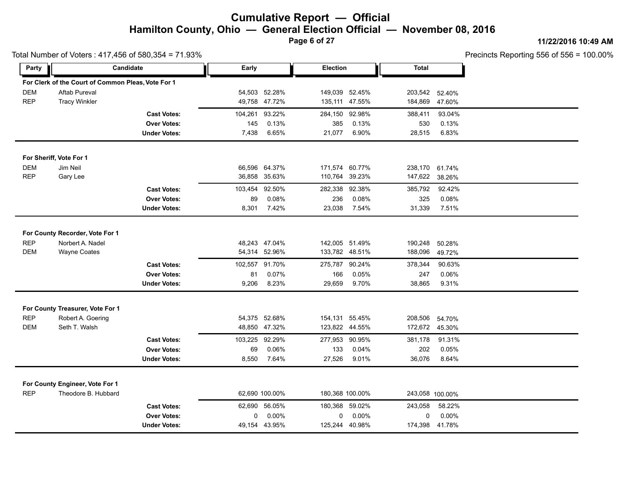**Page 6 of 27**

### **11/22/2016 10:49 AM**

|            | Total Number of Voters: 417,456 of 580,354 = 71.93%    |                                          |       |                |                 |                 |                 |        | Precincts Reporting 556 of 556 = |
|------------|--------------------------------------------------------|------------------------------------------|-------|----------------|-----------------|-----------------|-----------------|--------|----------------------------------|
| Party      | <b>Candidate</b>                                       |                                          | Early |                | <b>Election</b> |                 | <b>Total</b>    |        |                                  |
|            | For Clerk of the Court of Common Pleas, Vote For 1     |                                          |       |                |                 |                 |                 |        |                                  |
| <b>DEM</b> | <b>Aftab Pureval</b>                                   |                                          |       | 54,503 52.28%  |                 | 149,039 52.45%  | 203,542         | 52.40% |                                  |
| <b>REP</b> | <b>Tracy Winkler</b>                                   |                                          |       | 49,758 47.72%  |                 | 135,111 47.55%  | 184,869         | 47.60% |                                  |
|            |                                                        | <b>Cast Votes:</b>                       |       | 104,261 93.22% | 284,150         | 92.98%          | 388,411         | 93.04% |                                  |
|            |                                                        | <b>Over Votes:</b>                       | 145   | 0.13%          | 385             | 0.13%           | 530             | 0.13%  |                                  |
|            |                                                        | <b>Under Votes:</b>                      | 7,438 | 6.65%          | 21,077          | 6.90%           | 28,515          | 6.83%  |                                  |
|            | For Sheriff, Vote For 1                                |                                          |       |                |                 |                 |                 |        |                                  |
| <b>DEM</b> | Jim Neil                                               |                                          |       | 66,596 64.37%  |                 | 171,574 60.77%  | 238,170         | 61.74% |                                  |
| <b>REP</b> | Gary Lee                                               |                                          |       | 36,858 35.63%  | 110,764         | 39.23%          | 147,622 38.26%  |        |                                  |
|            |                                                        | <b>Cast Votes:</b>                       |       | 103,454 92.50% | 282,338         | 92.38%          | 385,792         | 92.42% |                                  |
|            |                                                        | <b>Over Votes:</b>                       | 89    | 0.08%          | 236             | 0.08%           | 325             | 0.08%  |                                  |
|            |                                                        | <b>Under Votes:</b>                      | 8,301 | 7.42%          | 23,038          | 7.54%           | 31,339          | 7.51%  |                                  |
|            |                                                        |                                          |       |                |                 |                 |                 |        |                                  |
|            | For County Recorder, Vote For 1                        |                                          |       |                |                 |                 |                 |        |                                  |
| <b>REP</b> | Norbert A. Nadel                                       |                                          |       | 48,243 47.04%  |                 | 142,005 51.49%  | 190,248         | 50.28% |                                  |
| <b>DEM</b> | <b>Wayne Coates</b>                                    |                                          |       | 54,314 52.96%  |                 | 133,782 48.51%  | 188,096         | 49.72% |                                  |
|            |                                                        | <b>Cast Votes:</b>                       |       | 102,557 91.70% | 275,787         | 90.24%          | 378,344         | 90.63% |                                  |
|            |                                                        | <b>Over Votes:</b>                       | 81    | 0.07%          | 166             | 0.05%           | 247             | 0.06%  |                                  |
|            |                                                        | <b>Under Votes:</b>                      | 9,206 | 8.23%          | 29,659          | 9.70%           | 38,865          | 9.31%  |                                  |
|            | For County Treasurer, Vote For 1                       |                                          |       |                |                 |                 |                 |        |                                  |
| <b>REP</b> | Robert A. Goering                                      |                                          |       | 54,375 52.68%  |                 | 154,131 55.45%  | 208,506         | 54.70% |                                  |
| <b>DEM</b> | Seth T. Walsh                                          |                                          |       | 48,850 47.32%  |                 | 123,822 44.55%  | 172,672 45.30%  |        |                                  |
|            |                                                        | <b>Cast Votes:</b>                       |       | 103,225 92.29% | 277,953         | 90.95%          | 381,178         | 91.31% |                                  |
|            |                                                        | <b>Over Votes:</b>                       | 69    | 0.06%          | 133             | 0.04%           | 202             | 0.05%  |                                  |
|            |                                                        | <b>Under Votes:</b>                      | 8,550 | 7.64%          | 27,526          | 9.01%           | 36,076          | 8.64%  |                                  |
|            |                                                        |                                          |       |                |                 |                 |                 |        |                                  |
| <b>REP</b> | For County Engineer, Vote For 1<br>Theodore B. Hubbard |                                          |       | 62,690 100.00% |                 | 180,368 100.00% | 243,058 100.00% |        |                                  |
|            |                                                        |                                          |       | 62,690 56.05%  |                 | 180,368 59.02%  | 243,058         | 58.22% |                                  |
|            |                                                        | <b>Cast Votes:</b><br><b>Over Votes:</b> | 0     | 0.00%          | 0               | 0.00%           | $\mathbf 0$     | 0.00%  |                                  |
|            |                                                        |                                          |       | 49,154 43.95%  |                 | 125,244 40.98%  | 174,398 41.78%  |        |                                  |
|            |                                                        | <b>Under Votes:</b>                      |       |                |                 |                 |                 |        |                                  |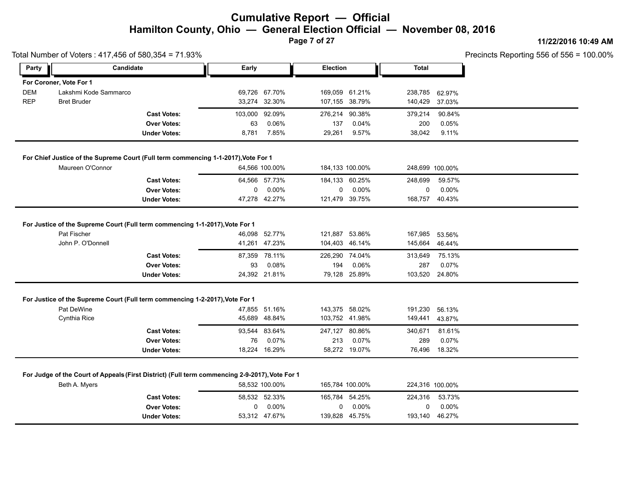**Page 7 of 27**

### **11/22/2016 10:49 AM**

|            | Total Number of Voters: 417,456 of 580,354 = 71.93%                                            |                                          |              |                                                          |                                                           |               |                                      | Precincts Reporting 556 of 556 = 100.00% |  |
|------------|------------------------------------------------------------------------------------------------|------------------------------------------|--------------|----------------------------------------------------------|-----------------------------------------------------------|---------------|--------------------------------------|------------------------------------------|--|
| Party      | <b>Candidate</b>                                                                               |                                          | <b>Early</b> |                                                          | Election                                                  |               | <b>Total</b>                         |                                          |  |
|            | For Coroner, Vote For 1                                                                        |                                          |              |                                                          |                                                           |               |                                      |                                          |  |
| <b>DEM</b> | Lakshmi Kode Sammarco                                                                          |                                          |              | 69,726 67.70%                                            | 169,059 61.21%                                            |               | 238,785                              | 62.97%                                   |  |
| <b>REP</b> | <b>Bret Bruder</b>                                                                             |                                          |              | 33,274 32.30%                                            | 107,155 38.79%                                            |               | 140,429                              | 37.03%                                   |  |
|            |                                                                                                | <b>Cast Votes:</b>                       |              | 103,000 92.09%                                           | 276,214                                                   | 90.38%        | 379,214                              | 90.84%                                   |  |
|            |                                                                                                | <b>Over Votes:</b>                       | 63           | 0.06%                                                    | 137                                                       | 0.04%         | 200                                  | 0.05%                                    |  |
|            |                                                                                                | <b>Under Votes:</b>                      | 8,781        | 7.85%                                                    | 29,261                                                    | 9.57%         | 38,042                               | 9.11%                                    |  |
|            | For Chief Justice of the Supreme Court (Full term commencing 1-1-2017), Vote For 1             |                                          |              |                                                          |                                                           |               |                                      |                                          |  |
|            | Maureen O'Connor                                                                               |                                          |              | 64,566 100.00%                                           | 184,133 100.00%                                           |               | 248,699 100.00%                      |                                          |  |
|            |                                                                                                | <b>Cast Votes:</b>                       |              | 64,566 57.73%                                            | 184,133 60.25%                                            |               | 248,699                              | 59.57%                                   |  |
|            |                                                                                                | <b>Over Votes:</b>                       | 0            | $0.00\%$                                                 | 0                                                         | 0.00%         | 0                                    | 0.00%                                    |  |
|            |                                                                                                | <b>Under Votes:</b>                      |              | 47,278 42.27%                                            | 121,479 39.75%                                            |               | 168,757 40.43%                       |                                          |  |
|            | Pat Fischer<br>John P. O'Donnell                                                               | <b>Cast Votes:</b><br><b>Over Votes:</b> | 93           | 46,098 52.77%<br>41,261 47.23%<br>87,359 78.11%<br>0.08% | 121,887 53.86%<br>104,403 46.14%<br>226,290 74.04%<br>194 | 0.06%         | 167,985<br>145,664<br>313,649<br>287 | 53.56%<br>46.44%<br>75.13%<br>0.07%      |  |
|            |                                                                                                | <b>Under Votes:</b>                      |              | 24,392 21.81%                                            |                                                           | 79,128 25.89% | 103,520 24.80%                       |                                          |  |
|            | For Justice of the Supreme Court (Full term commencing 1-2-2017), Vote For 1                   |                                          |              |                                                          |                                                           |               |                                      |                                          |  |
|            | Pat DeWine                                                                                     |                                          |              | 47,855 51.16%                                            | 143,375 58.02%                                            |               | 191,230                              | 56.13%                                   |  |
|            | Cynthia Rice                                                                                   |                                          |              | 45,689 48.84%                                            | 103,752 41.98%                                            |               | 149,441                              | 43.87%                                   |  |
|            |                                                                                                | <b>Cast Votes:</b>                       |              | 93,544 83.64%                                            | 247,127 80.86%                                            |               | 340,671                              | 81.61%                                   |  |
|            |                                                                                                | <b>Over Votes:</b>                       | 76           | 0.07%                                                    | 213                                                       | 0.07%         | 289                                  | 0.07%                                    |  |
|            |                                                                                                | <b>Under Votes:</b>                      |              | 18,224 16.29%                                            |                                                           | 58,272 19.07% | 76,496                               | 18.32%                                   |  |
|            | For Judge of the Court of Appeals (First District) (Full term commencing 2-9-2017), Vote For 1 |                                          |              |                                                          |                                                           |               |                                      |                                          |  |
|            | Beth A. Myers                                                                                  |                                          |              | 58,532 100.00%                                           | 165,784 100.00%                                           |               | 224,316 100.00%                      |                                          |  |
|            |                                                                                                | <b>Cast Votes:</b>                       |              | 58,532 52.33%                                            | 165,784 54.25%                                            |               | 224,316                              | 53.73%                                   |  |
|            |                                                                                                | <b>Over Votes:</b>                       | 0            | $0.00\%$                                                 | 0                                                         | 0.00%         | 0                                    | 0.00%                                    |  |
|            |                                                                                                | <b>Under Votes:</b>                      |              | 53,312 47.67%                                            | 139,828 45.75%                                            |               | 193,140 46.27%                       |                                          |  |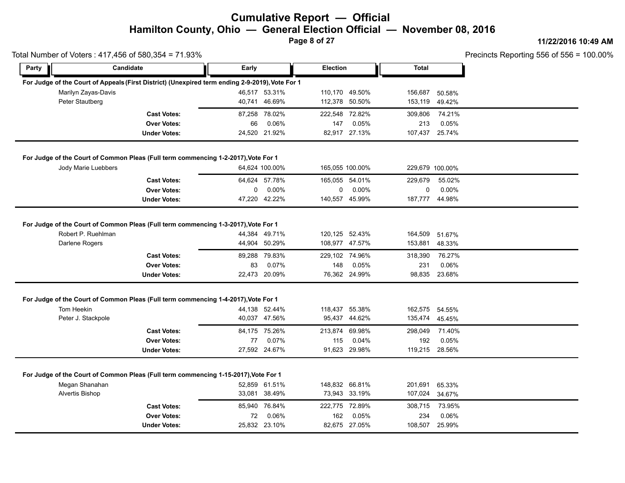**Page 8 of 27**

### **11/22/2016 10:49 AM**

| Precincts Reporting 556 of 556 = $100.00\%$ |
|---------------------------------------------|
|---------------------------------------------|

| Total Number of Voters: 417,456 of 580,354 = 71.93% |                     |                                                                                                 |       |                                                          |                                         |                                 |                           | Precincts Reporting 556 of 556 =           |  |
|-----------------------------------------------------|---------------------|-------------------------------------------------------------------------------------------------|-------|----------------------------------------------------------|-----------------------------------------|---------------------------------|---------------------------|--------------------------------------------|--|
| Party                                               | Candidate           |                                                                                                 | Early |                                                          | Election                                |                                 | <b>Total</b>              |                                            |  |
|                                                     |                     | For Judge of the Court of Appeals (First District) (Unexpired term ending 2-9-2019), Vote For 1 |       |                                                          |                                         |                                 |                           |                                            |  |
|                                                     | Marilyn Zayas-Davis |                                                                                                 |       | 46,517 53.31%                                            |                                         | 110,170 49.50%                  | 156,687                   | 50.58%                                     |  |
|                                                     | Peter Stautberg     |                                                                                                 |       | 40,741 46.69%                                            | 112,378 50.50%                          |                                 | 153,119                   | 49.42%                                     |  |
|                                                     |                     | <b>Cast Votes:</b>                                                                              |       | 87,258 78.02%                                            | 222,548 72.82%                          |                                 | 309,806                   | 74.21%                                     |  |
|                                                     |                     | <b>Over Votes:</b>                                                                              | 66    | 0.06%                                                    | 147                                     | 0.05%                           | 213                       | 0.05%                                      |  |
|                                                     |                     | <b>Under Votes:</b>                                                                             |       | 24,520 21.92%                                            |                                         | 82,917 27.13%                   |                           | 107,437 25.74%                             |  |
|                                                     |                     | For Judge of the Court of Common Pleas (Full term commencing 1-2-2017), Vote For 1              |       |                                                          |                                         |                                 |                           |                                            |  |
|                                                     | Jody Marie Luebbers |                                                                                                 |       | 64,624 100.00%                                           |                                         | 165,055 100.00%                 |                           | 229,679 100.00%                            |  |
|                                                     |                     | <b>Cast Votes:</b>                                                                              |       | 64,624 57.78%                                            |                                         | 165,055 54.01%                  | 229,679                   | 55.02%                                     |  |
|                                                     |                     | <b>Over Votes:</b>                                                                              | 0     | $0.00\%$                                                 | 0                                       | $0.00\%$                        | 0                         | 0.00%                                      |  |
|                                                     |                     | <b>Under Votes:</b>                                                                             |       | 47,220 42.22%                                            | 140,557 45.99%                          |                                 |                           | 187,777 44.98%                             |  |
|                                                     | Darlene Rogers      | <b>Cast Votes:</b><br><b>Over Votes:</b><br><b>Under Votes:</b>                                 | 83    | 44,904 50.29%<br>89,288 79.83%<br>0.07%<br>22,473 20.09% | 108,977 47.57%<br>229,102 74.96%<br>148 | 0.05%<br>76,362 24.99%          | 153,881<br>318,390<br>231 | 48.33%<br>76.27%<br>0.06%<br>98,835 23.68% |  |
| Tom Heekin                                          | Peter J. Stackpole  | For Judge of the Court of Common Pleas (Full term commencing 1-4-2017), Vote For 1              |       | 44,138 52.44%<br>40,037 47.56%                           |                                         | 118,437 55.38%<br>95,437 44.62% | 162,575<br>135,474        | 54.55%<br>45.45%                           |  |
|                                                     |                     | <b>Cast Votes:</b>                                                                              |       | 84,175 75.26%                                            | 213,874                                 | 69.98%                          | 298,049                   | 71.40%                                     |  |
|                                                     |                     | <b>Over Votes:</b>                                                                              | 77    | 0.07%                                                    | 115                                     | 0.04%                           | 192                       | 0.05%                                      |  |
|                                                     |                     |                                                                                                 |       |                                                          |                                         |                                 |                           |                                            |  |
|                                                     |                     | <b>Under Votes:</b>                                                                             |       | 27,592 24.67%                                            |                                         | 91,623 29.98%                   |                           | 119,215 28.56%                             |  |
|                                                     | Megan Shanahan      | For Judge of the Court of Common Pleas (Full term commencing 1-15-2017), Vote For 1             |       | 52,859 61.51%                                            |                                         | 148,832 66.81%                  | 201,691                   | 65.33%                                     |  |
|                                                     | Alvertis Bishop     |                                                                                                 |       | 33,081 38.49%                                            |                                         | 73,943 33.19%                   | 107,024                   | 34.67%                                     |  |
|                                                     |                     | <b>Cast Votes:</b>                                                                              |       | 85,940 76.84%                                            | 222,775 72.89%                          |                                 | 308,715                   | 73.95%                                     |  |
|                                                     |                     | <b>Over Votes:</b>                                                                              | 72    | 0.06%                                                    | 162                                     | 0.05%                           | 234                       | 0.06%                                      |  |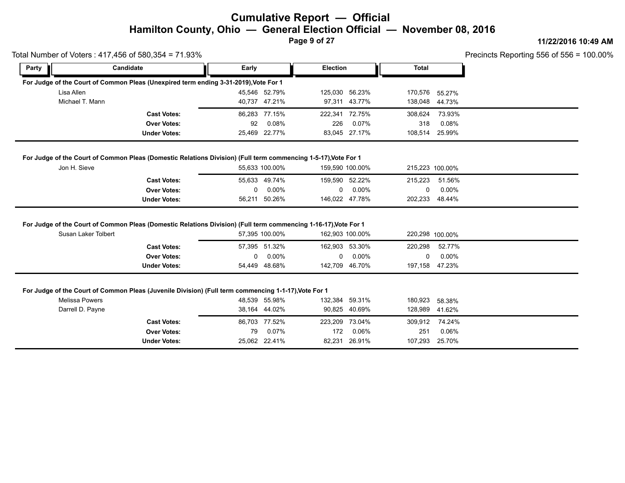**Page 9 of 27**

### **11/22/2016 10:49 AM**

Precincts Reporting 556 of 556 = 100.00%

|            | $O(d)$ Number of VOLETS . 417,400 OF 300,304 = 71.9370                                                                         |       |                |          |                 |                 |                 | - DISCRIPTION LIGHTING COOP OF SOLO - |
|------------|--------------------------------------------------------------------------------------------------------------------------------|-------|----------------|----------|-----------------|-----------------|-----------------|---------------------------------------|
| Party      | Candidate                                                                                                                      | Early |                | Election |                 | Total           |                 |                                       |
|            | For Judge of the Court of Common Pleas (Unexpired term ending 3-31-2019), Vote For 1                                           |       |                |          |                 |                 |                 |                                       |
| Lisa Allen |                                                                                                                                |       | 45,546 52.79%  |          | 125,030 56.23%  |                 | 170,576 55.27%  |                                       |
|            | Michael T. Mann                                                                                                                |       | 40,737 47.21%  |          | 97,311 43.77%   | 138,048         | 44.73%          |                                       |
|            | <b>Cast Votes:</b>                                                                                                             |       | 86,283 77.15%  |          | 222,341 72.75%  | 308,624         | 73.93%          |                                       |
|            | <b>Over Votes:</b>                                                                                                             | 92    | $0.08\%$       | 226      | 0.07%           | 318             | $0.08\%$        |                                       |
|            | <b>Under Votes:</b>                                                                                                            |       | 25,469 22.77%  |          | 83,045 27.17%   | 108,514         | 25.99%          |                                       |
|            | For Judge of the Court of Common Pleas (Domestic Relations Division) (Full term commencing 1-5-17), Vote For 1<br>Jon H. Sieve |       | 55,633 100.00% |          | 159,590 100.00% |                 | 215,223 100.00% |                                       |
|            | <b>Cast Votes:</b>                                                                                                             |       | 55,633 49.74%  |          | 159,590 52.22%  | 215,223         | 51.56%          |                                       |
|            | <b>Over Votes:</b>                                                                                                             | 0     | 0.00%          | $\Omega$ | $0.00\%$        | 0               | 0.00%           |                                       |
|            | <b>Under Votes:</b>                                                                                                            |       | 56,211 50.26%  |          | 146,022 47.78%  | 202,233         | 48.44%          |                                       |
|            |                                                                                                                                |       |                |          |                 |                 |                 |                                       |
|            | For Judge of the Court of Common Pleas (Domestic Relations Division) (Full term commencing 1-16-17), Vote For 1                |       |                |          |                 |                 |                 |                                       |
|            | Susan Laker Tolbert                                                                                                            |       | 57 395 100 00% |          | 162 903 100 00% | 220 298 100 00% |                 |                                       |

| Susan Laker Tolbert |        | 57.395 100.00% | 162.903 100.00% |         | 220,298 100.00% |  |
|---------------------|--------|----------------|-----------------|---------|-----------------|--|
| <b>Cast Votes:</b>  |        | 57.395 51.32%  | 162,903 53.30%  | 220,298 | 52.77%          |  |
| <b>Over Votes:</b>  |        | $0.00\%$       | $0.00\%$        |         | 0.00%           |  |
| <b>Under Votes:</b> | 54.449 | 48.68%         | 142.709 46.70%  | 197,158 | 47.23%          |  |
|                     |        |                |                 |         |                 |  |

#### **For Judge of the Court of Common Pleas (Juvenile Division) (Full term commencing 1-1-17), Vote For 1**

| Melissa Powers   |                     |     | 48,539 55.98% |                | 132,384 59.31% | 180,923        | 58.38% |  |
|------------------|---------------------|-----|---------------|----------------|----------------|----------------|--------|--|
| Darrell D. Payne |                     |     | 38,164 44.02% |                | 90,825 40.69%  | 128,989 41.62% |        |  |
|                  | <b>Cast Votes:</b>  |     | 86,703 77.52% | 223,209 73.04% |                | 309,912 74.24% |        |  |
|                  | <b>Over Votes:</b>  | 79. | 0.07%         | 172            | 0.06%          | 251            | 0.06%  |  |
|                  | <b>Under Votes:</b> |     | 25,062 22.41% |                | 82,231 26.91%  | 107,293 25.70% |        |  |

### Total Number of Voters  $\cdot$  417,456 of 580,354 = 71.93%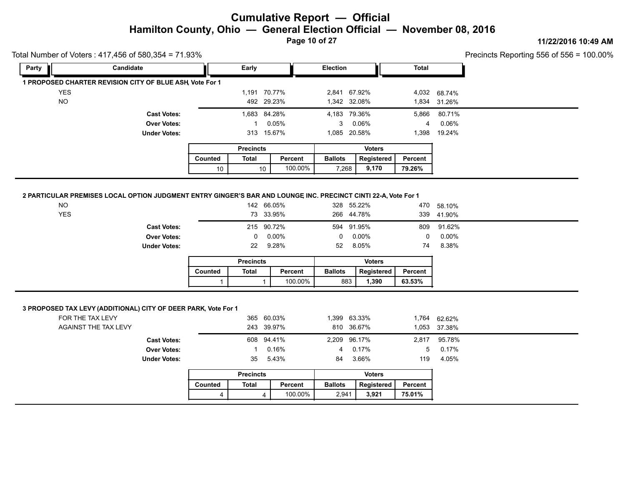**Page 10 of 27**

### **11/22/2016 10:49 AM**

|            |                                                                                                                                                                                      |              |                                                             |                    |                                                       |                     |                   |                                                          | Precincts Reporting 556 of 556 = 2 |
|------------|--------------------------------------------------------------------------------------------------------------------------------------------------------------------------------------|--------------|-------------------------------------------------------------|--------------------|-------------------------------------------------------|---------------------|-------------------|----------------------------------------------------------|------------------------------------|
| Party      | Candidate                                                                                                                                                                            |              | Early                                                       |                    | <b>Election</b>                                       |                     | <b>Total</b>      |                                                          |                                    |
|            | 1 PROPOSED CHARTER REVISION CITY OF BLUE ASH, Vote For 1                                                                                                                             |              |                                                             |                    |                                                       |                     |                   |                                                          |                                    |
| <b>YES</b> |                                                                                                                                                                                      |              | 1,191 70.77%                                                |                    | 2,841 67.92%                                          |                     |                   | 4,032 68.74%                                             |                                    |
| <b>NO</b>  |                                                                                                                                                                                      |              | 492 29.23%                                                  |                    | 1,342 32.08%                                          |                     | 1,834             | 31.26%                                                   |                                    |
|            | <b>Cast Votes:</b>                                                                                                                                                                   |              | 1,683 84.28%                                                |                    | 4,183 79.36%                                          |                     | 5,866             | 80.71%                                                   |                                    |
|            | <b>Over Votes:</b>                                                                                                                                                                   |              | $\mathbf{1}$                                                | 0.05%              | 3 <sup>7</sup>                                        | 0.06%               | 4                 | 0.06%                                                    |                                    |
|            | <b>Under Votes:</b>                                                                                                                                                                  |              | 313 15.67%                                                  |                    | 1,085 20.58%                                          |                     | 1,398             | 19.24%                                                   |                                    |
|            |                                                                                                                                                                                      |              | <b>Precincts</b>                                            |                    |                                                       | <b>Voters</b>       |                   |                                                          |                                    |
|            |                                                                                                                                                                                      | Counted      | <b>Total</b>                                                | Percent            | <b>Ballots</b>                                        | Registered          | Percent           |                                                          |                                    |
|            |                                                                                                                                                                                      | 10           | 10                                                          | 100.00%            | 7,268                                                 | 9,170               | 79.26%            |                                                          |                                    |
|            | 2 PARTICULAR PREMISES LOCAL OPTION JUDGMENT ENTRY GINGER'S BAR AND LOUNGE INC. PRECINCT CINTI 22-A, Vote For 1                                                                       |              |                                                             |                    |                                                       |                     |                   |                                                          |                                    |
| <b>NO</b>  |                                                                                                                                                                                      |              | 142 66.05%                                                  |                    | 328 55.22%                                            |                     | 470               | 58.10%                                                   |                                    |
| <b>YES</b> |                                                                                                                                                                                      |              | 73 33.95%                                                   |                    | 266 44.78%                                            |                     |                   | 339 41.90%                                               |                                    |
|            | <b>Cast Votes:</b>                                                                                                                                                                   |              | 215 90.72%                                                  |                    | 594 91.95%                                            |                     | 809               | 91.62%                                                   |                                    |
|            | <b>Over Votes:</b>                                                                                                                                                                   |              | 0                                                           | 0.00%              | 0                                                     | 0.00%               | $\mathbf 0$       | 0.00%                                                    |                                    |
|            | <b>Under Votes:</b>                                                                                                                                                                  |              | 22                                                          | 9.28%              | 52                                                    | 8.05%               | 74                | 8.38%                                                    |                                    |
|            |                                                                                                                                                                                      |              |                                                             |                    |                                                       |                     |                   |                                                          |                                    |
|            |                                                                                                                                                                                      |              | <b>Precincts</b>                                            |                    |                                                       | <b>Voters</b>       |                   |                                                          |                                    |
|            |                                                                                                                                                                                      | Counted      | <b>Total</b>                                                | Percent            | <b>Ballots</b>                                        | Registered          | Percent           |                                                          |                                    |
|            |                                                                                                                                                                                      | $\mathbf{1}$ | $\mathbf{1}$                                                | 100.00%            | 883                                                   | 1,390               | 63.53%            |                                                          |                                    |
|            | 3 PROPOSED TAX LEVY (ADDITIONAL) CITY OF DEER PARK, Vote For 1<br>FOR THE TAX LEVY<br><b>AGAINST THE TAX LEVY</b><br><b>Cast Votes:</b><br><b>Over Votes:</b><br><b>Under Votes:</b> |              | 365 60.03%<br>243 39.97%<br>608 94.41%<br>$\mathbf 1$<br>35 | 0.16%              | 1,399 63.33%<br>810 36.67%<br>2,209 96.17%<br>4<br>84 | 0.17%               | 2,817<br>5<br>119 | 1,764 62.62%<br>1,053 37.38%<br>95.78%<br>0.17%<br>4.05% |                                    |
|            |                                                                                                                                                                                      |              |                                                             | 5.43%              |                                                       | 3.66%               |                   |                                                          |                                    |
|            |                                                                                                                                                                                      |              | <b>Precincts</b>                                            |                    |                                                       | <b>Voters</b>       |                   |                                                          |                                    |
|            |                                                                                                                                                                                      | Counted<br>4 | <b>Total</b><br>$\overline{4}$                              | Percent<br>100.00% | <b>Ballots</b><br>2,941                               | Registered<br>3,921 | Percent<br>75.01% |                                                          |                                    |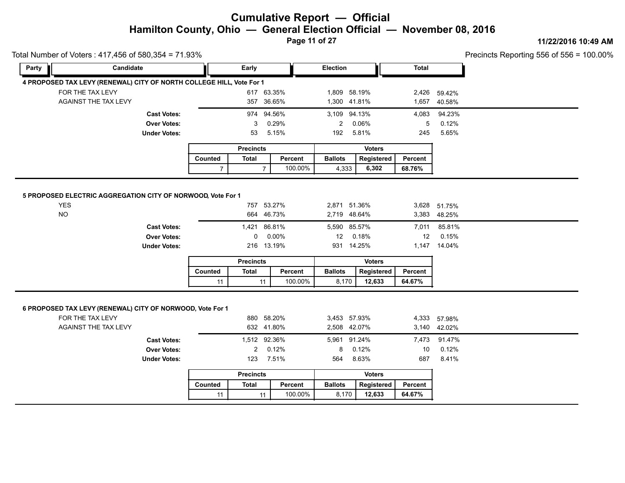**Page 11 of 27**

### **11/22/2016 10:49 AM**

|       | Total Number of Voters: 417,456 of 580,354 = 71.93%                                                                         |                  |                                          |               |                                              |               |         |                                        | Precincts Reporting 556 of 556 = 2 |
|-------|-----------------------------------------------------------------------------------------------------------------------------|------------------|------------------------------------------|---------------|----------------------------------------------|---------------|---------|----------------------------------------|------------------------------------|
| Party | Candidate                                                                                                                   |                  | Early                                    |               | <b>Election</b>                              |               | Total   |                                        |                                    |
|       | 4 PROPOSED TAX LEVY (RENEWAL) CITY OF NORTH COLLEGE HILL, Vote For 1                                                        |                  |                                          |               |                                              |               |         |                                        |                                    |
|       | FOR THE TAX LEVY                                                                                                            |                  | 617 63.35%                               |               | 1,809 58.19%                                 |               | 2,426   | 59.42%                                 |                                    |
|       | AGAINST THE TAX LEVY                                                                                                        |                  | 357 36.65%                               |               | 1,300 41.81%                                 |               | 1,657   | 40.58%                                 |                                    |
|       | <b>Cast Votes:</b>                                                                                                          |                  | 974 94.56%                               |               | 3,109 94.13%                                 |               | 4,083   | 94.23%                                 |                                    |
|       | <b>Over Votes:</b>                                                                                                          |                  | 3                                        | 0.29%         | $\overline{2}$                               | 0.06%         | 5       | 0.12%                                  |                                    |
|       | <b>Under Votes:</b>                                                                                                         |                  | 53                                       | 5.15%         | 192                                          | 5.81%         | 245     | 5.65%                                  |                                    |
|       |                                                                                                                             | <b>Precincts</b> |                                          | <b>Voters</b> |                                              |               |         |                                        |                                    |
|       |                                                                                                                             | Counted          | <b>Total</b>                             | Percent       | <b>Ballots</b>                               | Registered    | Percent |                                        |                                    |
|       |                                                                                                                             | $\overline{7}$   | $\overline{7}$                           | 100.00%       | 4,333                                        | 6,302         | 68.76%  |                                        |                                    |
|       | <b>Over Votes:</b><br><b>Under Votes:</b>                                                                                   |                  | $\mathbf 0$<br>216 13.19%                | $0.00\%$      | 12 0.18%<br>931 14.25%                       |               | 12      | 0.15%<br>1,147 14.04%                  |                                    |
|       |                                                                                                                             |                  | <b>Precincts</b>                         |               | <b>Voters</b>                                |               |         |                                        |                                    |
|       |                                                                                                                             | Counted          | <b>Total</b>                             | Percent       | <b>Ballots</b>                               | Registered    | Percent |                                        |                                    |
|       |                                                                                                                             | 11               | 11                                       | 100.00%       | 8,170                                        | 12,633        | 64.67%  |                                        |                                    |
|       | 6 PROPOSED TAX LEVY (RENEWAL) CITY OF NORWOOD, Vote For 1<br>FOR THE TAX LEVY<br>AGAINST THE TAX LEVY<br><b>Cast Votes:</b> |                  | 880 58.20%<br>632 41.80%<br>1,512 92.36% |               | 3,453 57.93%<br>2,508 42.07%<br>5,961 91.24% |               | 7,473   | 4,333 57.98%<br>3,140 42.02%<br>91.47% |                                    |
|       | <b>Over Votes:</b>                                                                                                          |                  | $\overline{2}$                           | 0.12%         | 8                                            | 0.12%         | 10      | 0.12%                                  |                                    |
|       | <b>Under Votes:</b>                                                                                                         |                  | 123                                      | 7.51%         | 564                                          | 8.63%         | 687     | 8.41%                                  |                                    |
|       |                                                                                                                             |                  | <b>Precincts</b>                         |               |                                              | <b>Voters</b> |         |                                        |                                    |
|       |                                                                                                                             |                  |                                          |               |                                              |               |         |                                        |                                    |
|       |                                                                                                                             | Counted          | Total                                    | Percent       | <b>Ballots</b>                               | Registered    | Percent |                                        |                                    |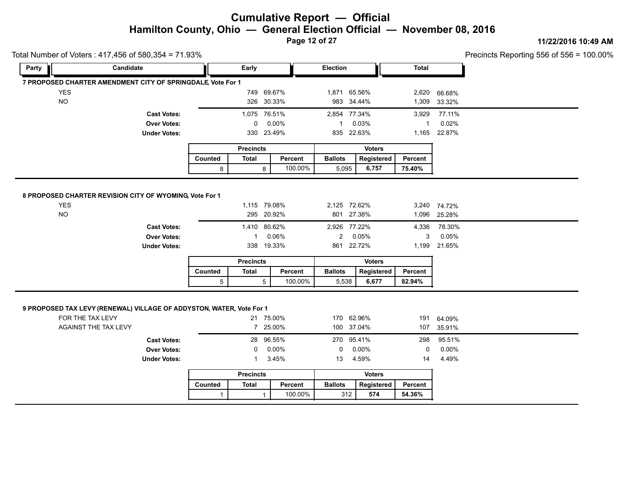**Page 12 of 27**

### **11/22/2016 10:49 AM**

Precincts Reporting 556 of 556 = 100.00%

|            | Total Number of Voters: 417,456 of 580,354 = 71.93%                                                                                                                                 |         |                       |                                                      |                 |                                                          |                              |                                              | Precincts Reporting 556 of 556 = 1 |
|------------|-------------------------------------------------------------------------------------------------------------------------------------------------------------------------------------|---------|-----------------------|------------------------------------------------------|-----------------|----------------------------------------------------------|------------------------------|----------------------------------------------|------------------------------------|
| Party      | Candidate                                                                                                                                                                           |         | Early                 |                                                      | <b>Election</b> |                                                          | <b>Total</b>                 |                                              |                                    |
|            | 7 PROPOSED CHARTER AMENDMENT CITY OF SPRINGDALE, Vote For 1                                                                                                                         |         |                       |                                                      |                 |                                                          |                              |                                              |                                    |
| <b>YES</b> |                                                                                                                                                                                     |         |                       | 749 69.67%                                           |                 | 1,871 65.56%                                             | 2,620                        | 66.68%                                       |                                    |
| <b>NO</b>  |                                                                                                                                                                                     |         |                       | 326 30.33%                                           |                 | 983 34.44%                                               | 1,309                        | 33.32%                                       |                                    |
|            | <b>Cast Votes:</b>                                                                                                                                                                  |         |                       | 1,075 76.51%                                         |                 | 2,854 77.34%                                             | 3,929                        | 77.11%                                       |                                    |
|            | <b>Over Votes:</b>                                                                                                                                                                  |         | 0                     | $0.00\%$                                             | 1               | 0.03%                                                    | 1                            | 0.02%                                        |                                    |
|            | <b>Under Votes:</b>                                                                                                                                                                 |         |                       | 330 23.49%                                           |                 | 835 22.63%                                               |                              | 1,165 22.87%                                 |                                    |
|            |                                                                                                                                                                                     |         | <b>Precincts</b>      |                                                      |                 | <b>Voters</b>                                            |                              |                                              |                                    |
|            |                                                                                                                                                                                     | Counted | <b>Total</b>          | Percent                                              | <b>Ballots</b>  | Registered                                               | Percent                      |                                              |                                    |
|            |                                                                                                                                                                                     | 8       |                       | 100.00%<br>8                                         | 5,095           | 6,757                                                    | 75.40%                       |                                              |                                    |
|            | <b>Cast Votes:</b><br><b>Over Votes:</b><br><b>Under Votes:</b>                                                                                                                     |         | 1<br><b>Precincts</b> | 1,410 80.62%<br>0.06%<br>338 19.33%                  |                 | 2,926 77.22%<br>2 0.05%<br>861 22.72%<br><b>Voters</b>   | 4,336<br>3                   | 78.30%<br>0.05%<br>1,199 21.65%              |                                    |
|            |                                                                                                                                                                                     | Counted | <b>Total</b>          | Percent                                              | <b>Ballots</b>  | Registered                                               | Percent                      |                                              |                                    |
|            |                                                                                                                                                                                     | 5       |                       | 100.00%<br>5                                         | 5,538           | 6,677                                                    | 82.94%                       |                                              |                                    |
|            | 9 PROPOSED TAX LEVY (RENEWAL) VILLAGE OF ADDYSTON, WATER, Vote For 1<br>FOR THE TAX LEVY<br>AGAINST THE TAX LEVY<br><b>Cast Votes:</b><br><b>Over Votes:</b><br><b>Under Votes:</b> |         | 0<br>1                | 21 75.00%<br>7 25.00%<br>28 96.55%<br>0.00%<br>3.45% | 0<br>13         | 170 62.96%<br>100 37.04%<br>270 95.41%<br>0.00%<br>4.59% | 191<br>107<br>298<br>0<br>14 | 64.09%<br>35.91%<br>95.51%<br>0.00%<br>4.49% |                                    |
|            |                                                                                                                                                                                     |         | <b>Precincts</b>      |                                                      |                 | <b>Voters</b>                                            |                              |                                              |                                    |
|            |                                                                                                                                                                                     | Counted | Total                 | Percent                                              | <b>Ballots</b>  | Registered                                               | Percent                      |                                              |                                    |

1 100.00%

312 574

100.00% **574 54.36%** 

1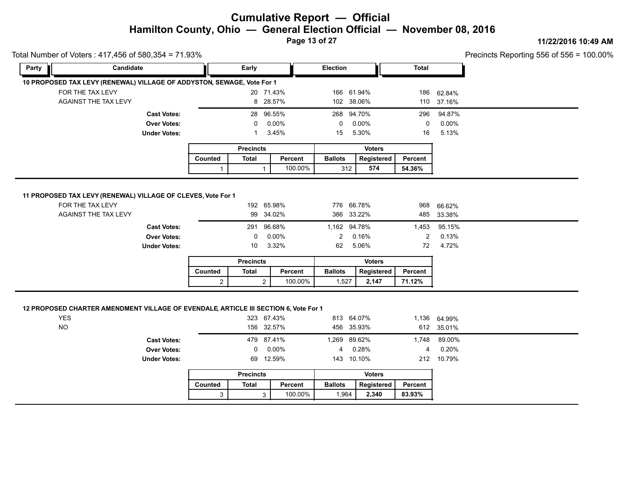**Page 13 of 27**

### **11/22/2016 10:49 AM**

| Total Number of Voters: 417,456 of 580,354 = 71.93% |                                                                        |         |                  |                         |                          |                |                |                  |  |
|-----------------------------------------------------|------------------------------------------------------------------------|---------|------------------|-------------------------|--------------------------|----------------|----------------|------------------|--|
| Party                                               | Candidate                                                              |         | Early            |                         | <b>Election</b>          |                | <b>Total</b>   |                  |  |
|                                                     | 10 PROPOSED TAX LEVY (RENEWAL) VILLAGE OF ADDYSTON, SEWAGE, Vote For 1 |         |                  |                         |                          |                |                |                  |  |
| FOR THE TAX LEVY                                    |                                                                        |         |                  | 20 71.43%               | 166 61.94%               |                | 186            | 62.84%           |  |
| AGAINST THE TAX LEVY                                |                                                                        |         |                  | 8 28.57%                | 102 38.06%               |                | 110            | 37.16%           |  |
|                                                     | <b>Cast Votes:</b>                                                     |         |                  | 28 96.55%               | 268 94.70%               |                | 296            | 94.87%           |  |
|                                                     | <b>Over Votes:</b>                                                     |         | 0                | 0.00%                   | 0                        | 0.00%          | $\mathbf{0}$   | $0.00\%$         |  |
|                                                     | <b>Under Votes:</b>                                                    |         |                  | 3.45%                   | 15                       | 5.30%          | 16             | 5.13%            |  |
|                                                     |                                                                        |         | <b>Precincts</b> |                         |                          | <b>Voters</b>  |                |                  |  |
|                                                     |                                                                        | Counted | <b>Total</b>     | <b>Percent</b>          | <b>Ballots</b>           | Registered     | Percent        |                  |  |
|                                                     |                                                                        |         |                  |                         |                          |                |                |                  |  |
|                                                     | 11 PROPOSED TAX LEVY (RENEWAL) VILLAGE OF CLEVES, Vote For 1           | 1       |                  | 100.00%<br>1            | 312                      | 574            | 54.36%         |                  |  |
| FOR THE TAX LEVY<br>AGAINST THE TAX LEVY            |                                                                        |         |                  | 192 65.98%<br>99 34.02% | 776 66.78%<br>386 33.22% |                | 968<br>485     | 66.62%           |  |
|                                                     | <b>Cast Votes:</b>                                                     |         |                  | 291 96.68%              | 1,162 94.78%             |                | 1,453          | 33.38%<br>95.15% |  |
|                                                     | <b>Over Votes:</b>                                                     |         | 0                |                         | $\overline{2}$           |                | $\overline{c}$ |                  |  |
|                                                     | <b>Under Votes:</b>                                                    |         | 10               | $0.00\%$<br>3.32%       | 62                       | 0.16%<br>5.06% | 72             | 0.13%<br>4.72%   |  |
|                                                     |                                                                        |         | <b>Precincts</b> |                         |                          | <b>Voters</b>  |                |                  |  |
|                                                     |                                                                        | Counted | Total            | Percent                 | <b>Ballots</b>           | Registered     | Percent        |                  |  |

| <b>YES</b><br><b>NO</b>                  |    | 323 67.43%<br>156 32.57%      | 813 64.07%<br>456 35.93% |      | l,136 64.99%<br>612 35.01% |  |
|------------------------------------------|----|-------------------------------|--------------------------|------|----------------------------|--|
| <b>Cast Votes:</b><br><b>Over Votes:</b> |    | 479 87.41%<br>$0\quad 0.00\%$ | 1,269 89.62%<br>0.28%    | .748 | 89.00%<br>0.20%            |  |
| Under Votes:                             | 69 | 12.59%                        | 143 10.10%               |      | 212 10.79%                 |  |

|         | <b>Precincts</b> |         |                | <b>Voters</b> |         |  |  |  |
|---------|------------------|---------|----------------|---------------|---------|--|--|--|
| Counted | Total            | Percent | <b>Ballots</b> | Registered    | Percent |  |  |  |
|         |                  | 100.00% | 1.964          | 2.340         | 83.93%  |  |  |  |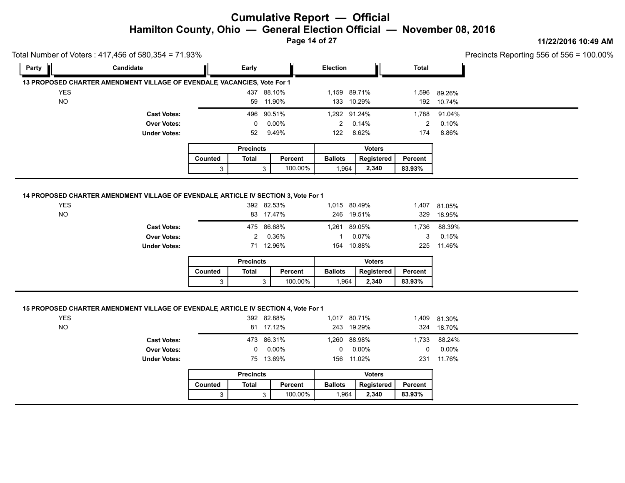**Page 14 of 27**

### **11/22/2016 10:49 AM**

100.00%

| Party                   |                                                                                     |         |                                    |                                  |                                            |                        |                      |                           |  |
|-------------------------|-------------------------------------------------------------------------------------|---------|------------------------------------|----------------------------------|--------------------------------------------|------------------------|----------------------|---------------------------|--|
|                         | Candidate                                                                           |         | Early                              |                                  | <b>Election</b>                            |                        | <b>Total</b>         |                           |  |
|                         | 13 PROPOSED CHARTER AMENDMENT VILLAGE OF EVENDALE VACANCIES, Vote For 1             |         |                                    |                                  |                                            |                        |                      |                           |  |
| <b>YES</b>              |                                                                                     |         |                                    | 437 88.10%                       | 1,159 89.71%                               |                        |                      | 1,596 89.26%              |  |
| <b>NO</b>               |                                                                                     |         |                                    | 59 11.90%                        | 133 10.29%                                 |                        |                      | 192 10.74%                |  |
|                         | <b>Cast Votes:</b>                                                                  |         |                                    | 496 90.51%                       | 1,292 91.24%                               |                        | 1,788                | 91.04%                    |  |
|                         | <b>Over Votes:</b>                                                                  |         | 0                                  | 0.00%                            | $2^{\circ}$                                | 0.14%                  | $\overline{2}$       | 0.10%                     |  |
|                         | <b>Under Votes:</b>                                                                 |         | $52^{\circ}$                       | 9.49%                            | 122                                        | 8.62%                  | 174                  | 8.86%                     |  |
|                         |                                                                                     |         | <b>Precincts</b>                   |                                  |                                            | <b>Voters</b>          |                      |                           |  |
|                         |                                                                                     | Counted | <b>Total</b>                       | Percent                          | <b>Ballots</b>                             | Registered             | <b>Percent</b>       |                           |  |
|                         |                                                                                     | 3       |                                    | 100.00%<br>3                     | 1,964                                      | 2,340                  | 83.93%               |                           |  |
| <b>NO</b>               |                                                                                     |         |                                    | 83 17.47%                        | 246 19.51%                                 |                        | 329                  | 18.95%                    |  |
|                         | <b>Cast Votes:</b><br><b>Over Votes:</b><br><b>Under Votes:</b>                     |         | $\overline{2}$<br><b>Precincts</b> | 475 86.68%<br>0.36%<br>71 12.96% | 1,261 89.05%<br>$\mathbf{1}$<br>154 10.88% | 0.07%<br><b>Voters</b> | 1,736<br>3<br>225    | 88.39%<br>0.15%<br>11.46% |  |
|                         |                                                                                     | Counted | <b>Total</b>                       | Percent                          | <b>Ballots</b>                             | Registered             | <b>Percent</b>       |                           |  |
|                         |                                                                                     | 3       |                                    | 100.00%<br>3                     | 1,964                                      | 2,340                  | 83.93%               |                           |  |
| <b>YES</b><br><b>NO</b> | 15 PROPOSED CHARTER AMENDMENT VILLAGE OF EVENDALE, ARTICLE IV SECTION 4, Vote For 1 |         |                                    | 392 82.88%<br>81 17.12%          | 1,017 80.71%<br>243 19.29%                 |                        | 324                  | 1,409 81.30%<br>18.70%    |  |
|                         | <b>Cast Votes:</b><br><b>Over Votes:</b>                                            |         | 0                                  | 473 86.31%<br>$0.00\%$           | 1,260 88.98%<br>0                          | $0.00\%$               | 1,733<br>$\mathbf 0$ | 88.24%<br>$0.00\%$        |  |

|         | <b>Precincts</b> |         | <b>Voters</b>  |            |         |  |  |
|---------|------------------|---------|----------------|------------|---------|--|--|
| Counted | Total            | Percent | <b>Ballots</b> | Registered | Percent |  |  |
|         | ົ<br>ີ           | 100.00% | .964           | 2.340      | 83.93%  |  |  |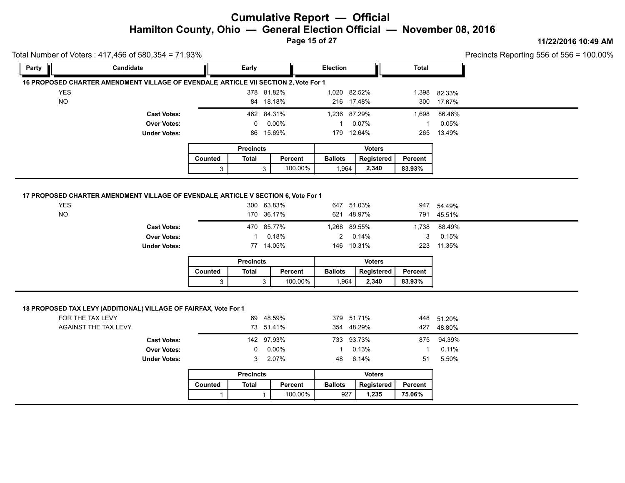**Page 15 of 27**

### **11/22/2016 10:49 AM**

| Candidate  |                                                                                                                                    |         |                  |                        |                                        |               |                   |                            |  |
|------------|------------------------------------------------------------------------------------------------------------------------------------|---------|------------------|------------------------|----------------------------------------|---------------|-------------------|----------------------------|--|
| Party      |                                                                                                                                    |         | Early            |                        | <b>Election</b>                        |               | <b>Total</b>      |                            |  |
|            | 16 PROPOSED CHARTER AMENDMENT VILLAGE OF EVENDALE, ARTICLE VII SECTION 2, Vote For 1                                               |         |                  |                        |                                        |               |                   |                            |  |
| <b>YES</b> |                                                                                                                                    |         | 378 81.82%       |                        | 1,020 82.52%                           |               | 1,398             | 82.33%                     |  |
| <b>NO</b>  |                                                                                                                                    |         |                  | 84 18.18%              | 216 17.48%                             |               | 300               | 17.67%                     |  |
|            | <b>Cast Votes:</b>                                                                                                                 |         | 462 84.31%       |                        | 1,236 87.29%                           |               | 1,698             | 86.46%                     |  |
|            | <b>Over Votes:</b>                                                                                                                 |         | 0                | $0.00\%$               | 1                                      | 0.07%         | $\mathbf{1}$      | 0.05%                      |  |
|            | <b>Under Votes:</b>                                                                                                                |         |                  | 86 15.69%              | 179 12.64%                             |               | 265               | 13.49%                     |  |
|            |                                                                                                                                    |         | <b>Precincts</b> |                        |                                        | <b>Voters</b> |                   |                            |  |
|            |                                                                                                                                    | Counted | <b>Total</b>     | Percent                | <b>Ballots</b>                         | Registered    | Percent           |                            |  |
|            |                                                                                                                                    | 3       | 3 <sup>1</sup>   | 100.00%                | 1,964                                  | 2,340         | 83.93%            |                            |  |
|            |                                                                                                                                    |         |                  |                        |                                        |               |                   |                            |  |
|            | 17 PROPOSED CHARTER AMENDMENT VILLAGE OF EVENDALE, ARTICLE V SECTION 6, Vote For 1                                                 |         |                  |                        |                                        |               |                   |                            |  |
| <b>YES</b> |                                                                                                                                    |         | 300 63.83%       |                        | 647 51.03%                             |               |                   | 947 54.49%                 |  |
| <b>NO</b>  |                                                                                                                                    |         | 170 36.17%       |                        | 621 48.97%                             |               |                   | 791 45.51%                 |  |
|            | <b>Cast Votes:</b>                                                                                                                 |         | 470 85.77%       |                        | 1,268 89.55%                           |               | 1,738             | 88.49%                     |  |
|            | <b>Over Votes:</b>                                                                                                                 |         | $\mathbf{1}$     | 0.18%                  |                                        | 2 0.14%       | 3                 | 0.15%                      |  |
|            |                                                                                                                                    |         |                  |                        |                                        |               |                   |                            |  |
|            | <b>Under Votes:</b>                                                                                                                |         |                  | 77 14.05%              | 146 10.31%                             |               | 223               | 11.35%                     |  |
|            |                                                                                                                                    |         | <b>Precincts</b> |                        |                                        | <b>Voters</b> |                   |                            |  |
|            |                                                                                                                                    | Counted | Total            | Percent                | <b>Ballots</b>                         | Registered    | Percent           |                            |  |
|            |                                                                                                                                    | 3       | 3                | 100.00%                | 1,964                                  | 2,340         | 83.93%            |                            |  |
|            | 18 PROPOSED TAX LEVY (ADDITIONAL) VILLAGE OF FAIRFAX, Vote For 1<br>FOR THE TAX LEVY<br>AGAINST THE TAX LEVY<br><b>Cast Votes:</b> |         | 142 97.93%       | 69 48.59%<br>73 51.41% | 379 51.71%<br>354 48.29%<br>733 93.73% |               | 448<br>427<br>875 | 51.20%<br>48.80%<br>94.39% |  |
|            | <b>Over Votes:</b>                                                                                                                 |         | 0                | 0.00%                  | $\mathbf{1}$                           | 0.13%         | $\mathbf{1}$      | 0.11%                      |  |
|            | <b>Under Votes:</b>                                                                                                                |         | 3                | 2.07%                  | 48                                     | 6.14%         | 51                | 5.50%                      |  |
|            |                                                                                                                                    |         | <b>Precincts</b> |                        |                                        | <b>Voters</b> |                   |                            |  |
|            |                                                                                                                                    | Counted | Total            | Percent                | <b>Ballots</b>                         | Registered    | Percent           |                            |  |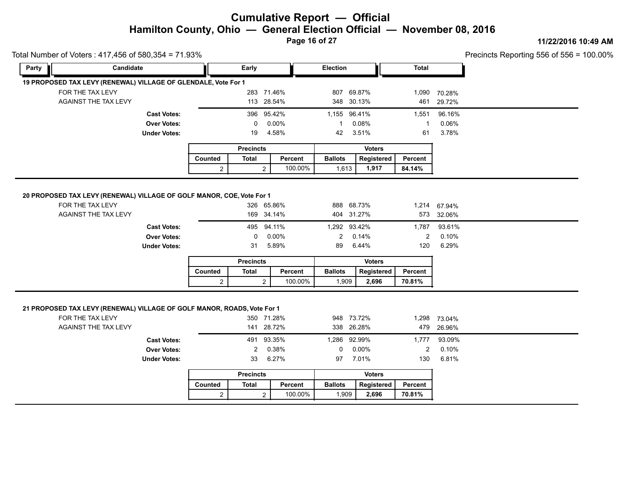**Page 16 of 27**

### **11/22/2016 10:49 AM**

| Candidate<br><b>Election</b><br>Party<br>Early<br><b>Total</b><br>19 PROPOSED TAX LEVY (RENEWAL) VILLAGE OF GLENDALE, Vote For 1<br>FOR THE TAX LEVY<br>283 71.46%<br>807 69.87%<br>1,090<br>70.28%<br>AGAINST THE TAX LEVY<br>113 28.54%<br>348 30.13%<br>461<br>29.72%<br>396 95.42%<br>1,155 96.41%<br>1,551<br>96.16%<br><b>Cast Votes:</b><br>0.00%<br>0.08%<br>0.06%<br><b>Over Votes:</b><br>0<br>$\mathbf{1}$<br>$\overline{1}$<br>4.58%<br>42<br>3.51%<br>3.78%<br><b>Under Votes:</b><br>19<br>61<br><b>Voters</b><br><b>Precincts</b><br><b>Ballots</b><br>Counted<br><b>Total</b><br>Percent<br>Registered<br>Percent<br>1,917<br>100.00%<br>84.14%<br>2<br>2<br>1,613<br>20 PROPOSED TAX LEVY (RENEWAL) VILLAGE OF GOLF MANOR, COE, Vote For 1<br>FOR THE TAX LEVY<br>326 65.86%<br>888 68.73%<br>1,214 67.94%<br><b>AGAINST THE TAX LEVY</b><br>169 34.14%<br>404 31.27%<br>573 32.06%<br>495 94.11%<br>1,292 93.42%<br>93.61%<br><b>Cast Votes:</b><br>1,787<br>0.00%<br>$\overline{2}$<br>0.14%<br>2<br>0.10%<br><b>Over Votes:</b><br>0<br>5.89%<br>89<br>6.44%<br>120<br>6.29%<br><b>Under Votes:</b><br>31<br><b>Voters</b><br><b>Precincts</b><br><b>Ballots</b><br>Counted<br><b>Total</b><br>Percent<br>Registered<br><b>Percent</b><br>2,696<br>100.00%<br>70.81%<br>$\overline{2}$<br>1,909<br>2<br>21 PROPOSED TAX LEVY (RENEWAL) VILLAGE OF GOLF MANOR, ROADS, Vote For 1<br>FOR THE TAX LEVY<br>350 71.28%<br>948 73.72%<br>1,298 73.04%<br>AGAINST THE TAX LEVY<br>141 28.72%<br>338 26.28%<br>479<br>26.96%<br>1,286 92.99%<br><b>Cast Votes:</b><br>93.35%<br>93.09%<br>491<br>1,777<br><b>Over Votes:</b><br>2<br>0.38%<br>0.00%<br>2<br>0.10%<br>$\mathbf 0$<br>6.27%<br>97<br>7.01%<br>130<br>6.81%<br><b>Under Votes:</b><br>33 | Total Number of Voters: 417,456 of 580,354 = 71.93% |  |                  |  |               |  | Precincts Reporting 556 of 556 = |
|-------------------------------------------------------------------------------------------------------------------------------------------------------------------------------------------------------------------------------------------------------------------------------------------------------------------------------------------------------------------------------------------------------------------------------------------------------------------------------------------------------------------------------------------------------------------------------------------------------------------------------------------------------------------------------------------------------------------------------------------------------------------------------------------------------------------------------------------------------------------------------------------------------------------------------------------------------------------------------------------------------------------------------------------------------------------------------------------------------------------------------------------------------------------------------------------------------------------------------------------------------------------------------------------------------------------------------------------------------------------------------------------------------------------------------------------------------------------------------------------------------------------------------------------------------------------------------------------------------------------------------------------------------------------------------------------------------------------------------------------------------------------|-----------------------------------------------------|--|------------------|--|---------------|--|----------------------------------|
|                                                                                                                                                                                                                                                                                                                                                                                                                                                                                                                                                                                                                                                                                                                                                                                                                                                                                                                                                                                                                                                                                                                                                                                                                                                                                                                                                                                                                                                                                                                                                                                                                                                                                                                                                                   |                                                     |  |                  |  |               |  |                                  |
|                                                                                                                                                                                                                                                                                                                                                                                                                                                                                                                                                                                                                                                                                                                                                                                                                                                                                                                                                                                                                                                                                                                                                                                                                                                                                                                                                                                                                                                                                                                                                                                                                                                                                                                                                                   |                                                     |  |                  |  |               |  |                                  |
|                                                                                                                                                                                                                                                                                                                                                                                                                                                                                                                                                                                                                                                                                                                                                                                                                                                                                                                                                                                                                                                                                                                                                                                                                                                                                                                                                                                                                                                                                                                                                                                                                                                                                                                                                                   |                                                     |  |                  |  |               |  |                                  |
|                                                                                                                                                                                                                                                                                                                                                                                                                                                                                                                                                                                                                                                                                                                                                                                                                                                                                                                                                                                                                                                                                                                                                                                                                                                                                                                                                                                                                                                                                                                                                                                                                                                                                                                                                                   |                                                     |  |                  |  |               |  |                                  |
|                                                                                                                                                                                                                                                                                                                                                                                                                                                                                                                                                                                                                                                                                                                                                                                                                                                                                                                                                                                                                                                                                                                                                                                                                                                                                                                                                                                                                                                                                                                                                                                                                                                                                                                                                                   |                                                     |  |                  |  |               |  |                                  |
|                                                                                                                                                                                                                                                                                                                                                                                                                                                                                                                                                                                                                                                                                                                                                                                                                                                                                                                                                                                                                                                                                                                                                                                                                                                                                                                                                                                                                                                                                                                                                                                                                                                                                                                                                                   |                                                     |  |                  |  |               |  |                                  |
|                                                                                                                                                                                                                                                                                                                                                                                                                                                                                                                                                                                                                                                                                                                                                                                                                                                                                                                                                                                                                                                                                                                                                                                                                                                                                                                                                                                                                                                                                                                                                                                                                                                                                                                                                                   |                                                     |  |                  |  |               |  |                                  |
|                                                                                                                                                                                                                                                                                                                                                                                                                                                                                                                                                                                                                                                                                                                                                                                                                                                                                                                                                                                                                                                                                                                                                                                                                                                                                                                                                                                                                                                                                                                                                                                                                                                                                                                                                                   |                                                     |  |                  |  |               |  |                                  |
|                                                                                                                                                                                                                                                                                                                                                                                                                                                                                                                                                                                                                                                                                                                                                                                                                                                                                                                                                                                                                                                                                                                                                                                                                                                                                                                                                                                                                                                                                                                                                                                                                                                                                                                                                                   |                                                     |  |                  |  |               |  |                                  |
|                                                                                                                                                                                                                                                                                                                                                                                                                                                                                                                                                                                                                                                                                                                                                                                                                                                                                                                                                                                                                                                                                                                                                                                                                                                                                                                                                                                                                                                                                                                                                                                                                                                                                                                                                                   |                                                     |  |                  |  |               |  |                                  |
|                                                                                                                                                                                                                                                                                                                                                                                                                                                                                                                                                                                                                                                                                                                                                                                                                                                                                                                                                                                                                                                                                                                                                                                                                                                                                                                                                                                                                                                                                                                                                                                                                                                                                                                                                                   |                                                     |  |                  |  |               |  |                                  |
|                                                                                                                                                                                                                                                                                                                                                                                                                                                                                                                                                                                                                                                                                                                                                                                                                                                                                                                                                                                                                                                                                                                                                                                                                                                                                                                                                                                                                                                                                                                                                                                                                                                                                                                                                                   |                                                     |  |                  |  |               |  |                                  |
|                                                                                                                                                                                                                                                                                                                                                                                                                                                                                                                                                                                                                                                                                                                                                                                                                                                                                                                                                                                                                                                                                                                                                                                                                                                                                                                                                                                                                                                                                                                                                                                                                                                                                                                                                                   |                                                     |  |                  |  |               |  |                                  |
|                                                                                                                                                                                                                                                                                                                                                                                                                                                                                                                                                                                                                                                                                                                                                                                                                                                                                                                                                                                                                                                                                                                                                                                                                                                                                                                                                                                                                                                                                                                                                                                                                                                                                                                                                                   |                                                     |  |                  |  |               |  |                                  |
|                                                                                                                                                                                                                                                                                                                                                                                                                                                                                                                                                                                                                                                                                                                                                                                                                                                                                                                                                                                                                                                                                                                                                                                                                                                                                                                                                                                                                                                                                                                                                                                                                                                                                                                                                                   |                                                     |  |                  |  |               |  |                                  |
|                                                                                                                                                                                                                                                                                                                                                                                                                                                                                                                                                                                                                                                                                                                                                                                                                                                                                                                                                                                                                                                                                                                                                                                                                                                                                                                                                                                                                                                                                                                                                                                                                                                                                                                                                                   |                                                     |  | <b>Precincts</b> |  | <b>Voters</b> |  |                                  |

|         | Precincts |         |                | <b>Voters</b> |         |
|---------|-----------|---------|----------------|---------------|---------|
| Counted | Total     | Percent | <b>Ballots</b> | Registered    | Percent |
| ⌒<br>-  |           | 100.00% | 1.909          | 2.696         | 70.81%  |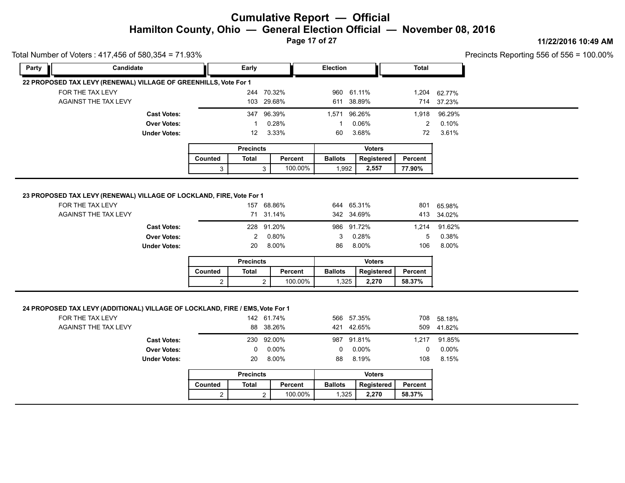**Page 17 of 27**

### **11/22/2016 10:49 AM**

| Candidate<br><b>Election</b><br><b>Total</b><br>Party<br>Early<br>22 PROPOSED TAX LEVY (RENEWAL) VILLAGE OF GREENHILLS, Vote For 1<br>FOR THE TAX LEVY<br>244 70.32%<br>960 61.11%<br>1,204<br>62.77%<br><b>AGAINST THE TAX LEVY</b><br>103 29.68%<br>611 38.89%<br>714 37.23%<br>347 96.39%<br>1,571 96.26%<br>96.29%<br><b>Cast Votes:</b><br>1,918<br>$\overline{2}$<br>0.10%<br>0.28%<br>0.06%<br><b>Over Votes:</b><br>$\mathbf{1}$<br>1<br>3.33%<br>3.68%<br>3.61%<br><b>Under Votes:</b><br>60<br>72<br>12<br><b>Voters</b><br><b>Precincts</b><br>Counted<br><b>Total</b><br><b>Ballots</b><br>Percent<br>Registered<br><b>Percent</b><br>100.00%<br>2,557<br>77.90%<br>3<br>1,992<br>3<br>23 PROPOSED TAX LEVY (RENEWAL) VILLAGE OF LOCKLAND, FIRE, Vote For 1<br>FOR THE TAX LEVY<br>157 68.86%<br>644 65.31%<br>801<br>65.98%<br>AGAINST THE TAX LEVY<br>71 31.14%<br>342 34.69%<br>413 34.02%<br>228 91.20%<br>986 91.72%<br>91.62%<br><b>Cast Votes:</b><br>1,214<br>0.28%<br>0.38%<br><b>Over Votes:</b><br>$\overline{2}$<br>0.80%<br>3<br>5<br>8.00%<br>8.00%<br>8.00%<br><b>Under Votes:</b><br>20<br>86<br>106<br><b>Voters</b><br><b>Precincts</b><br>Counted<br><b>Ballots</b><br><b>Total</b><br>Percent<br>Registered<br><b>Percent</b><br>58.37%<br>100.00%<br>2,270<br>$\overline{2}$<br>$\overline{2}$<br>1,325<br>24 PROPOSED TAX LEVY (ADDITIONAL) VILLAGE OF LOCKLAND, FIRE / EMS, Vote For 1<br>FOR THE TAX LEVY<br>142 61.74%<br>566 57.35%<br>708<br>58.18%<br>AGAINST THE TAX LEVY<br>88 38.26%<br>421 42.65%<br>509<br>41.82%<br>230 92.00%<br>987 91.81%<br><b>Cast Votes:</b><br>91.85%<br>1,217<br><b>Over Votes:</b><br>0.00%<br>$0.00\%$<br>0.00%<br>0<br>0<br>0<br>8.00%<br>8.19%<br>8.15%<br><b>Under Votes:</b><br>20<br>88<br>108 | Total Number of Voters: 417,456 of 580,354 = 71.93% |  |  |  |  | Precincts Reporting 556 of 556 = |
|-----------------------------------------------------------------------------------------------------------------------------------------------------------------------------------------------------------------------------------------------------------------------------------------------------------------------------------------------------------------------------------------------------------------------------------------------------------------------------------------------------------------------------------------------------------------------------------------------------------------------------------------------------------------------------------------------------------------------------------------------------------------------------------------------------------------------------------------------------------------------------------------------------------------------------------------------------------------------------------------------------------------------------------------------------------------------------------------------------------------------------------------------------------------------------------------------------------------------------------------------------------------------------------------------------------------------------------------------------------------------------------------------------------------------------------------------------------------------------------------------------------------------------------------------------------------------------------------------------------------------------------------------------------------------------------------------------------------------------------------------------------------------------|-----------------------------------------------------|--|--|--|--|----------------------------------|
|                                                                                                                                                                                                                                                                                                                                                                                                                                                                                                                                                                                                                                                                                                                                                                                                                                                                                                                                                                                                                                                                                                                                                                                                                                                                                                                                                                                                                                                                                                                                                                                                                                                                                                                                                                             |                                                     |  |  |  |  |                                  |
|                                                                                                                                                                                                                                                                                                                                                                                                                                                                                                                                                                                                                                                                                                                                                                                                                                                                                                                                                                                                                                                                                                                                                                                                                                                                                                                                                                                                                                                                                                                                                                                                                                                                                                                                                                             |                                                     |  |  |  |  |                                  |
|                                                                                                                                                                                                                                                                                                                                                                                                                                                                                                                                                                                                                                                                                                                                                                                                                                                                                                                                                                                                                                                                                                                                                                                                                                                                                                                                                                                                                                                                                                                                                                                                                                                                                                                                                                             |                                                     |  |  |  |  |                                  |
|                                                                                                                                                                                                                                                                                                                                                                                                                                                                                                                                                                                                                                                                                                                                                                                                                                                                                                                                                                                                                                                                                                                                                                                                                                                                                                                                                                                                                                                                                                                                                                                                                                                                                                                                                                             |                                                     |  |  |  |  |                                  |
|                                                                                                                                                                                                                                                                                                                                                                                                                                                                                                                                                                                                                                                                                                                                                                                                                                                                                                                                                                                                                                                                                                                                                                                                                                                                                                                                                                                                                                                                                                                                                                                                                                                                                                                                                                             |                                                     |  |  |  |  |                                  |
|                                                                                                                                                                                                                                                                                                                                                                                                                                                                                                                                                                                                                                                                                                                                                                                                                                                                                                                                                                                                                                                                                                                                                                                                                                                                                                                                                                                                                                                                                                                                                                                                                                                                                                                                                                             |                                                     |  |  |  |  |                                  |
|                                                                                                                                                                                                                                                                                                                                                                                                                                                                                                                                                                                                                                                                                                                                                                                                                                                                                                                                                                                                                                                                                                                                                                                                                                                                                                                                                                                                                                                                                                                                                                                                                                                                                                                                                                             |                                                     |  |  |  |  |                                  |
|                                                                                                                                                                                                                                                                                                                                                                                                                                                                                                                                                                                                                                                                                                                                                                                                                                                                                                                                                                                                                                                                                                                                                                                                                                                                                                                                                                                                                                                                                                                                                                                                                                                                                                                                                                             |                                                     |  |  |  |  |                                  |
|                                                                                                                                                                                                                                                                                                                                                                                                                                                                                                                                                                                                                                                                                                                                                                                                                                                                                                                                                                                                                                                                                                                                                                                                                                                                                                                                                                                                                                                                                                                                                                                                                                                                                                                                                                             |                                                     |  |  |  |  |                                  |
|                                                                                                                                                                                                                                                                                                                                                                                                                                                                                                                                                                                                                                                                                                                                                                                                                                                                                                                                                                                                                                                                                                                                                                                                                                                                                                                                                                                                                                                                                                                                                                                                                                                                                                                                                                             |                                                     |  |  |  |  |                                  |
|                                                                                                                                                                                                                                                                                                                                                                                                                                                                                                                                                                                                                                                                                                                                                                                                                                                                                                                                                                                                                                                                                                                                                                                                                                                                                                                                                                                                                                                                                                                                                                                                                                                                                                                                                                             |                                                     |  |  |  |  |                                  |
|                                                                                                                                                                                                                                                                                                                                                                                                                                                                                                                                                                                                                                                                                                                                                                                                                                                                                                                                                                                                                                                                                                                                                                                                                                                                                                                                                                                                                                                                                                                                                                                                                                                                                                                                                                             |                                                     |  |  |  |  |                                  |
|                                                                                                                                                                                                                                                                                                                                                                                                                                                                                                                                                                                                                                                                                                                                                                                                                                                                                                                                                                                                                                                                                                                                                                                                                                                                                                                                                                                                                                                                                                                                                                                                                                                                                                                                                                             |                                                     |  |  |  |  |                                  |
|                                                                                                                                                                                                                                                                                                                                                                                                                                                                                                                                                                                                                                                                                                                                                                                                                                                                                                                                                                                                                                                                                                                                                                                                                                                                                                                                                                                                                                                                                                                                                                                                                                                                                                                                                                             |                                                     |  |  |  |  |                                  |
|                                                                                                                                                                                                                                                                                                                                                                                                                                                                                                                                                                                                                                                                                                                                                                                                                                                                                                                                                                                                                                                                                                                                                                                                                                                                                                                                                                                                                                                                                                                                                                                                                                                                                                                                                                             |                                                     |  |  |  |  |                                  |

|         | <b>Precincts</b> |         |                | <b>Voters</b> |         |
|---------|------------------|---------|----------------|---------------|---------|
| Counted | Total            | Percent | <b>Ballots</b> | Reaistered    | Percent |
|         |                  | 100.00% | 1.325          | 2.270         | 58.37%  |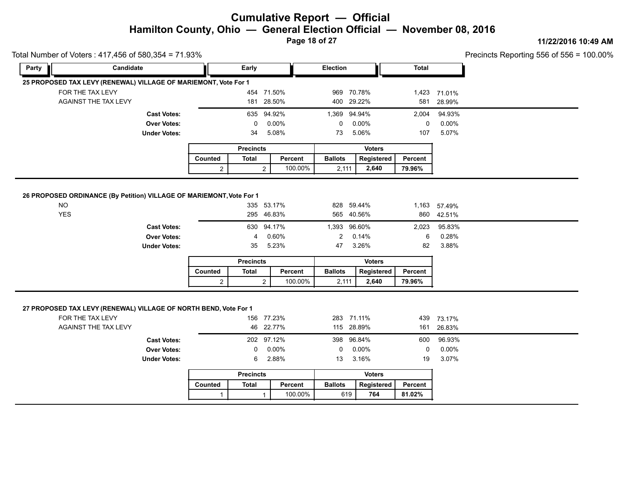**Page 18 of 27**

### **11/22/2016 10:49 AM**

Precincts Reporting 556 of 556 = 100.00%

|       | Total Number of Voters: 417,456 of 580,354 = 71.93%              |                |                  |                              |                                      |                          |                  |                          | Precincts Reporting 556 of 556 = $\degree$ |
|-------|------------------------------------------------------------------|----------------|------------------|------------------------------|--------------------------------------|--------------------------|------------------|--------------------------|--------------------------------------------|
| Party | Candidate                                                        |                | <b>Early</b>     |                              | Election                             |                          | <b>Total</b>     |                          |                                            |
|       | 25 PROPOSED TAX LEVY (RENEWAL) VILLAGE OF MARIEMONT, Vote For 1  |                |                  |                              |                                      |                          |                  |                          |                                            |
|       | FOR THE TAX LEVY                                                 |                |                  | 454 71.50%                   |                                      | 969 70.78%               |                  | 1,423 71.01%             |                                            |
|       | AGAINST THE TAX LEVY                                             |                |                  | 181 28.50%                   |                                      | 400 29.22%               | 581              | 28.99%                   |                                            |
|       | <b>Cast Votes:</b>                                               |                |                  | 635 94.92%                   | 1,369 94.94%                         |                          | 2,004            | 94.93%                   |                                            |
|       | <b>Over Votes:</b>                                               |                | 0                | 0.00%                        | 0                                    | 0.00%                    | 0                | 0.00%                    |                                            |
|       | <b>Under Votes:</b>                                              |                | 34               | 5.08%                        | 73                                   | 5.06%                    | 107              | 5.07%                    |                                            |
|       |                                                                  |                | <b>Precincts</b> |                              |                                      | <b>Voters</b>            |                  |                          |                                            |
|       |                                                                  | Counted        | <b>Total</b>     | Percent                      | <b>Ballots</b>                       | Registered               | Percent          |                          |                                            |
|       |                                                                  | $\overline{2}$ |                  | 100.00%<br>$\overline{2}$    | 2,111                                | 2,640                    | 79.96%           |                          |                                            |
|       | <b>Cast Votes:</b><br><b>Over Votes:</b><br><b>Under Votes:</b>  |                | 4<br>35          | 630 94.17%<br>0.60%<br>5.23% | 1,393 96.60%<br>$\overline{2}$<br>47 | 0.14%<br>3.26%           | 2,023<br>6<br>82 | 95.83%<br>0.28%<br>3.88% |                                            |
|       |                                                                  |                | <b>Precincts</b> |                              |                                      | <b>Voters</b>            |                  |                          |                                            |
|       |                                                                  | Counted        | Total            | Percent                      | <b>Ballots</b>                       | Registered               | <b>Percent</b>   |                          |                                            |
|       |                                                                  | $\overline{2}$ |                  | 100.00%<br>$\overline{2}$    | 2,111                                | 2,640                    | 79.96%           |                          |                                            |
|       | 27 PROPOSED TAX LEVY (RENEWAL) VILLAGE OF NORTH BEND, Vote For 1 |                |                  |                              |                                      |                          |                  |                          |                                            |
|       | FOR THE TAX LEVY<br>AGAINST THE TAX LEVY                         |                |                  | 156 77.23%<br>46 22.77%      |                                      | 283 71.11%<br>115 28.89% | 439<br>161       | 73.17%                   |                                            |
|       |                                                                  |                |                  |                              |                                      |                          |                  | 26.83%                   |                                            |
|       | <b>Cast Votes:</b>                                               |                |                  | 202 97.12%                   |                                      | 398 96.84%               | 600              | 96.93%                   |                                            |
|       | <b>Over Votes:</b>                                               |                | 0                | 0.00%                        | 0                                    | 0.00%                    | 0                | 0.00%                    |                                            |
|       | <b>Under Votes:</b>                                              |                | 6                | 2.88%                        | 13                                   | 3.16%                    | 19               | 3.07%                    |                                            |
|       |                                                                  |                | <b>Precincts</b> |                              |                                      | <b>Voters</b>            |                  |                          |                                            |
|       |                                                                  | Counted        | <b>Total</b>     | <b>Percent</b>               | <b>Ballots</b>                       | Registered               | Percent          |                          |                                            |

 $11100.00\%$ 

619 764

100.00% **764 81.02%** 

1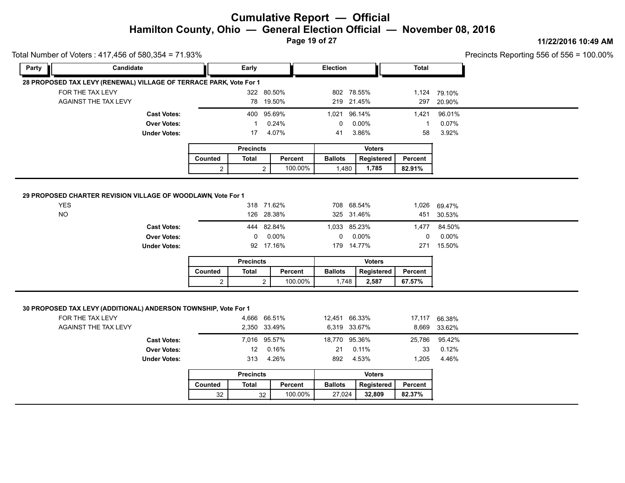**Page 19 of 27**

### **11/22/2016 10:49 AM**

|       | Total Number of Voters: 417,456 of 580,354 = 71.93%                                                         |                |                              |                                  |                                 |               |                   |                              | Precincts Reporting 556 of 556 = $\frac{1}{2}$ |
|-------|-------------------------------------------------------------------------------------------------------------|----------------|------------------------------|----------------------------------|---------------------------------|---------------|-------------------|------------------------------|------------------------------------------------|
| Party | Candidate                                                                                                   |                | Early                        |                                  | <b>Election</b>                 |               | <b>Total</b>      |                              |                                                |
|       | 28 PROPOSED TAX LEVY (RENEWAL) VILLAGE OF TERRACE PARK, Vote For 1                                          |                |                              |                                  |                                 |               |                   |                              |                                                |
|       | FOR THE TAX LEVY                                                                                            |                |                              | 322 80.50%                       | 802 78.55%                      |               |                   | 1,124 79.10%                 |                                                |
|       | <b>AGAINST THE TAX LEVY</b>                                                                                 |                |                              | 78 19.50%                        | 219 21.45%                      |               | 297               | 20.90%                       |                                                |
|       | <b>Cast Votes:</b>                                                                                          |                |                              | 400 95.69%                       | 1,021 96.14%                    |               | 1,421             | 96.01%                       |                                                |
|       | <b>Over Votes:</b>                                                                                          |                | $\mathbf{1}$                 | 0.24%                            | 0                               | 0.00%         | $\mathbf{1}$      | 0.07%                        |                                                |
|       | <b>Under Votes:</b>                                                                                         |                | 17                           | 4.07%                            | 41                              | 3.86%         | 58                | 3.92%                        |                                                |
|       |                                                                                                             |                | <b>Precincts</b>             |                                  |                                 | <b>Voters</b> |                   |                              |                                                |
|       |                                                                                                             | Counted        | <b>Total</b>                 | Percent                          | <b>Ballots</b>                  | Registered    | <b>Percent</b>    |                              |                                                |
|       |                                                                                                             | $\overline{c}$ | $\overline{2}$               | 100.00%                          | 1,480                           | 1,785         | 82.91%            |                              |                                                |
|       | <b>Cast Votes:</b><br><b>Over Votes:</b><br><b>Under Votes:</b>                                             |                | 0                            | 444 82.84%<br>0.00%<br>92 17.16% | 1,033 85.23%<br>0<br>179 14.77% | 0.00%         | 1,477<br>0<br>271 | 84.50%<br>$0.00\%$<br>15.50% |                                                |
|       |                                                                                                             |                | <b>Precincts</b>             |                                  |                                 | <b>Voters</b> |                   |                              |                                                |
|       |                                                                                                             | Counted        | <b>Total</b>                 | Percent                          | <b>Ballots</b>                  | Registered    | Percent           |                              |                                                |
|       |                                                                                                             | $\overline{c}$ | 2                            | 100.00%                          | 1,748                           | 2,587         | 67.57%            |                              |                                                |
|       | 30 PROPOSED TAX LEVY (ADDITIONAL) ANDERSON TOWNSHIP, Vote For 1<br>FOR THE TAX LEVY<br>AGAINST THE TAX LEVY |                | 4,666 66.51%<br>2,350 33.49% |                                  | 12,451 66.33%<br>6,319 33.67%   |               | 17,117<br>8,669   | 66.38%<br>33.62%             |                                                |
|       | <b>Cast Votes:</b>                                                                                          |                | 7,016 95.57%                 |                                  | 18,770 95.36%                   |               | 25,786            | 95.42%                       |                                                |
|       | <b>Over Votes:</b>                                                                                          |                | 12                           | 0.16%                            | 21                              | 0.11%         | 33                | 0.12%                        |                                                |
|       | <b>Under Votes:</b>                                                                                         |                | 313                          | 4.26%                            | 892                             | 4.53%         | 1,205             | 4.46%                        |                                                |
|       |                                                                                                             |                | <b>Precincts</b>             |                                  |                                 | <b>Voters</b> |                   |                              |                                                |
|       |                                                                                                             | Counted        | <b>Total</b>                 | Percent                          | <b>Ballots</b>                  | Registered    | Percent           |                              |                                                |
|       |                                                                                                             | 32             | 32                           | 100.00%                          | 27,024                          | 32,809        | 82.37%            |                              |                                                |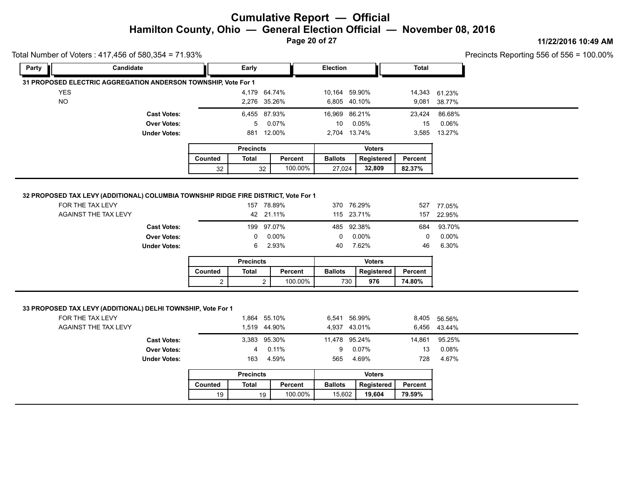**Page 20 of 27**

#### **11/22/2016 10:49 AM**

Precincts Reporting 556 of 556 = 100.00%

19 100.00% **19,604 79.59%**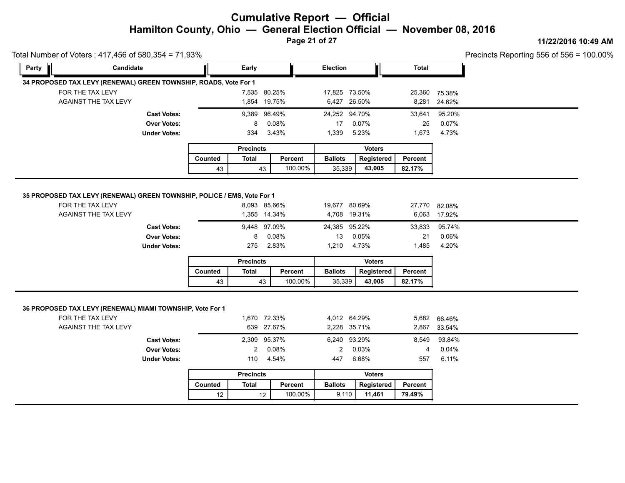**Page 21 of 27**

### **11/22/2016 10:49 AM**

Precincts Reporting 556 of 556 = 100.00%

|       | Total Number of Voters: 417,456 of 580,354 = 71.93%                                                   |         |                              |                                |                              |                                 |                       |                          | Precincts Reporting 556 of 556 = |
|-------|-------------------------------------------------------------------------------------------------------|---------|------------------------------|--------------------------------|------------------------------|---------------------------------|-----------------------|--------------------------|----------------------------------|
| Party | Candidate                                                                                             |         | Early                        |                                | <b>Election</b>              |                                 | <b>Total</b>          |                          |                                  |
|       | 34 PROPOSED TAX LEVY (RENEWAL) GREEN TOWNSHIP, ROADS, Vote For 1                                      |         |                              |                                |                              |                                 |                       |                          |                                  |
|       | FOR THE TAX LEVY                                                                                      |         |                              | 7,535 80.25%                   | 17,825 73.50%                |                                 | 25,360                | 75.38%                   |                                  |
|       | AGAINST THE TAX LEVY                                                                                  |         |                              | 1,854 19.75%                   | 6,427 26.50%                 |                                 | 8,281                 | 24.62%                   |                                  |
|       | <b>Cast Votes:</b>                                                                                    |         |                              | 9,389 96.49%                   | 24,252 94.70%                |                                 | 33,641                | 95.20%                   |                                  |
|       | <b>Over Votes:</b>                                                                                    |         | 8                            | 0.08%                          |                              | 17 0.07%                        | 25                    | 0.07%                    |                                  |
|       | <b>Under Votes:</b>                                                                                   |         | 334                          | 3.43%                          | 1,339                        | 5.23%                           | 1,673                 | 4.73%                    |                                  |
|       |                                                                                                       |         | <b>Precincts</b>             |                                |                              | <b>Voters</b>                   |                       |                          |                                  |
|       |                                                                                                       | Counted | <b>Total</b>                 | Percent                        | <b>Ballots</b>               | Registered                      | <b>Percent</b>        |                          |                                  |
|       |                                                                                                       | 43      |                              | 100.00%<br>43                  | 35,339                       | 43,005                          | 82.17%                |                          |                                  |
|       | <b>Cast Votes:</b><br><b>Over Votes:</b><br><b>Under Votes:</b>                                       |         | 8<br>275<br><b>Precincts</b> | 9,448 97.09%<br>0.08%<br>2.83% | 24,385 95.22%<br>13<br>1,210 | 0.05%<br>4.73%<br><b>Voters</b> | 33,833<br>21<br>1,485 | 95.74%<br>0.06%<br>4.20% |                                  |
|       |                                                                                                       | Counted | <b>Total</b>                 | Percent                        | <b>Ballots</b>               | Registered                      | <b>Percent</b>        |                          |                                  |
|       |                                                                                                       | 43      |                              | 100.00%<br>43                  | 35,339                       | 43,005                          | 82.17%                |                          |                                  |
|       | 36 PROPOSED TAX LEVY (RENEWAL) MIAMI TOWNSHIP, Vote For 1<br>FOR THE TAX LEVY<br>AGAINST THE TAX LEVY |         |                              | 1,670 72.33%<br>639 27.67%     | 4,012 64.29%<br>2,228 35.71% |                                 | 2,867                 | 5,682 66.46%<br>33.54%   |                                  |
|       | <b>Cast Votes:</b>                                                                                    |         |                              | 2,309 95.37%                   | 6,240 93.29%                 |                                 | 8,549                 | 93.84%                   |                                  |
|       | <b>Over Votes:</b>                                                                                    |         | $\mathbf{2}$                 | 0.08%                          | $\overline{2}$               | 0.03%                           | 4                     | 0.04%                    |                                  |
|       | <b>Under Votes:</b>                                                                                   |         | 110                          | 4.54%                          | 447                          | 6.68%                           | 557                   | 6.11%                    |                                  |
|       |                                                                                                       |         | <b>Precincts</b>             |                                |                              | <b>Voters</b>                   |                       |                          |                                  |
|       |                                                                                                       | Counted | <b>Total</b>                 | Percent                        | <b>Ballots</b>               | Registered                      | Percent               |                          |                                  |

100.00%

 $9,110$  11,461

100.00% **11,461 79.49%** 

12 12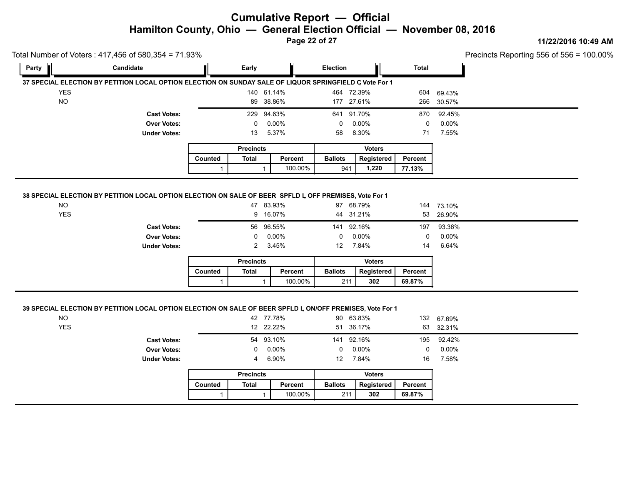**Page 22 of 27**

### **11/22/2016 10:49 AM**

Precincts Reporting 556 of 556 = 100.00%

|                         | Total Number of Voters: 417,456 of 580,354 = 71.93%                                                       |         |                  |                                    |                 |                        |                  |                            | Precincts Reporting 556 of 556 = |
|-------------------------|-----------------------------------------------------------------------------------------------------------|---------|------------------|------------------------------------|-----------------|------------------------|------------------|----------------------------|----------------------------------|
| Party                   | Candidate                                                                                                 |         | Early            |                                    | <b>Election</b> |                        | <b>Total</b>     |                            |                                  |
|                         | 37 SPECIAL ELECTION BY PETITION LOCAL OPTION ELECTION ON SUNDAY SALE OF LIQUOR SPRINGFIELD G Vote For 1   |         |                  |                                    |                 |                        |                  |                            |                                  |
| <b>YES</b>              |                                                                                                           |         |                  | 140 61.14%                         | 464 72.39%      |                        | 604              | 69.43%                     |                                  |
| <b>NO</b>               |                                                                                                           |         |                  | 89 38.86%                          | 177 27.61%      |                        | 266              | 30.57%                     |                                  |
|                         | <b>Cast Votes:</b>                                                                                        |         |                  | 229 94.63%                         | 641 91.70%      |                        | 870              | 92.45%                     |                                  |
|                         | <b>Over Votes:</b>                                                                                        |         | $\Omega$         | 0.00%                              | 0               | $0.00\%$               | $\Omega$         | 0.00%                      |                                  |
|                         | <b>Under Votes:</b>                                                                                       |         | 13               | 5.37%                              | 58              | 8.30%                  | 71               | 7.55%                      |                                  |
|                         |                                                                                                           |         | <b>Precincts</b> |                                    |                 | <b>Voters</b>          |                  |                            |                                  |
|                         |                                                                                                           | Counted | Total            | <b>Percent</b>                     | <b>Ballots</b>  | Registered             | Percent          |                            |                                  |
|                         |                                                                                                           | 1       | $\mathbf 1$      | 100.00%                            | 941             | 1,220                  | 77.13%           |                            |                                  |
| <b>NO</b><br><b>YES</b> | <b>Cast Votes:</b>                                                                                        |         |                  | 47 83.93%<br>9 16.07%<br>56 96.55% | 141 92.16%      | 97 68.79%<br>44 31.21% | 144<br>53<br>197 | 73.10%<br>26.90%<br>93.36% |                                  |
|                         | <b>Over Votes:</b>                                                                                        |         | $\Omega$         | $0.00\%$                           | 0               | $0.00\%$               | $\mathbf{0}$     | 0.00%                      |                                  |
|                         | <b>Under Votes:</b>                                                                                       |         | $\overline{2}$   | 3.45%                              |                 | 12 7.84%               | 14               | 6.64%                      |                                  |
|                         |                                                                                                           |         | <b>Precincts</b> |                                    |                 | <b>Voters</b>          |                  |                            |                                  |
|                         |                                                                                                           | Counted | Total            | Percent                            | <b>Ballots</b>  | Registered             | Percent          |                            |                                  |
|                         |                                                                                                           | 1       | 1                | 100.00%                            | 211             | 302                    | 69.87%           |                            |                                  |
|                         | 39 SPECIAL ELECTION BY PETITION LOCAL OPTION ELECTION ON SALE OF BEER SPFLD L ON/OFF PREMISES, Vote For 1 |         |                  |                                    |                 |                        |                  |                            |                                  |
| <b>NO</b>               |                                                                                                           |         |                  | 42 77.78%                          |                 | 90 63.83%              |                  | 132 67.69%                 |                                  |
| <b>YES</b>              |                                                                                                           |         |                  | 12 22.22%                          |                 | 51 36.17%              |                  | 63 32.31%                  |                                  |
|                         | $O = 4$ Matasi                                                                                            |         |                  | $F_A$ 00 $A$ 00/                   | $AA$ $0.9A01$   |                        |                  | $ADF = 00A00L$             |                                  |

**Cast Votes:** 54 93.10% 141 92.16% 195 92.42% **Over Votes:** 0 0.00% Under Votes: 4 6.90% 0.00% 0

|         | <b>Precincts</b> |         |                | Voters     |                |
|---------|------------------|---------|----------------|------------|----------------|
| Counted | Total            | Percent | <b>Ballots</b> | Reaistered | <b>Percent</b> |
|         |                  | 100.00% | 211            | 302        | 69.87%         |

12 7.84%

 12 16 7.84% 7.58% 0.00% 0 0.00%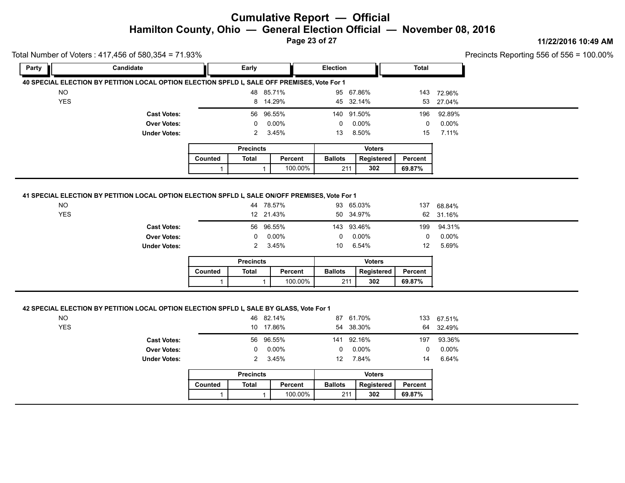**Page 23 of 27**

### **11/22/2016 10:49 AM**

 $rting 556 of 556 = 100.00\%$ 

|              | Total Number of Voters: 417,456 of 580,354 = 71.93%                                          |              |                  |                             |                              |                |                       |                          | Precincts Reporting 556 of 556 = |
|--------------|----------------------------------------------------------------------------------------------|--------------|------------------|-----------------------------|------------------------------|----------------|-----------------------|--------------------------|----------------------------------|
| <b>Party</b> | Candidate                                                                                    |              | Early            |                             | Election                     |                | <b>Total</b>          |                          |                                  |
|              | 40 SPECIAL ELECTION BY PETITION LOCAL OPTION ELECTION SPFLD L, SALE OFF PREMISES, Vote For 1 |              |                  |                             |                              |                |                       |                          |                                  |
| <b>NO</b>    |                                                                                              |              |                  | 48 85.71%                   | 95 67.86%                    |                | 143                   | 72.96%                   |                                  |
| <b>YES</b>   |                                                                                              |              |                  | 8 14.29%                    | 45 32.14%                    |                | 53                    | 27.04%                   |                                  |
|              | <b>Cast Votes:</b>                                                                           |              |                  | 56 96.55%                   | 140 91.50%                   |                | 196                   | 92.89%                   |                                  |
|              | <b>Over Votes:</b>                                                                           |              | 0                | 0.00%                       | 0                            | 0.00%          | 0                     | 0.00%                    |                                  |
|              | <b>Under Votes:</b>                                                                          |              | 2                | 3.45%                       | 13                           | 8.50%          | 15                    | 7.11%                    |                                  |
|              |                                                                                              |              | <b>Precincts</b> |                             |                              | <b>Voters</b>  |                       |                          |                                  |
|              |                                                                                              | Counted      | <b>Total</b>     | Percent                     | <b>Ballots</b>               | Registered     | Percent               |                          |                                  |
|              |                                                                                              | $\mathbf{1}$ |                  | 100.00%<br>1                | 211                          | 302            | 69.87%                |                          |                                  |
|              | <b>Cast Votes:</b><br><b>Over Votes:</b><br><b>Under Votes:</b>                              |              | $\Omega$<br>2    | 56 96.55%<br>0.00%<br>3.45% | 143 93.46%<br>$\Omega$<br>10 | 0.00%<br>6.54% | 199<br>$\Omega$<br>12 | 94.31%<br>0.00%<br>5.69% |                                  |
|              |                                                                                              |              | <b>Precincts</b> |                             |                              | <b>Voters</b>  |                       |                          |                                  |
|              |                                                                                              | Counted      | <b>Total</b>     | Percent                     | <b>Ballots</b>               | Registered     | Percent               |                          |                                  |
|              |                                                                                              | $\mathbf{1}$ |                  | 100.00%                     | 211                          | 302            | 69.87%                |                          |                                  |
| <b>NO</b>    | 42 SPECIAL ELECTION BY PETITION LOCAL OPTION ELECTION SPFLD L, SALE BY GLASS, Vote For 1     |              |                  | 46 82.14%                   | 87 61.70%                    |                |                       | 133 67.51%               |                                  |
| <b>YES</b>   |                                                                                              |              |                  | 10 17.86%                   | 54 38.30%                    |                |                       | 64 32.49%                |                                  |
|              | <b>Cast Votes:</b>                                                                           |              |                  | 56 96.55%                   | 141 92.16%                   |                | 197                   | 93.36%                   |                                  |
|              | <b>Over Votes:</b>                                                                           |              | 0                | $0.00\%$                    | 0                            | 0.00%          | 0                     | $0.00\%$                 |                                  |
|              | <b>Under Votes:</b>                                                                          |              | 2                | 3.45%                       | 12 7.84%                     |                | 14                    | 6.64%                    |                                  |
|              |                                                                                              |              | <b>Precincts</b> |                             |                              | <b>Voters</b>  |                       |                          |                                  |
|              |                                                                                              | Counted      | Total            | Percent                     | <b>Ballots</b>               | Registered     | Percent               |                          |                                  |

1 100.00%

211 302

100.00% **302 69.87%** 

1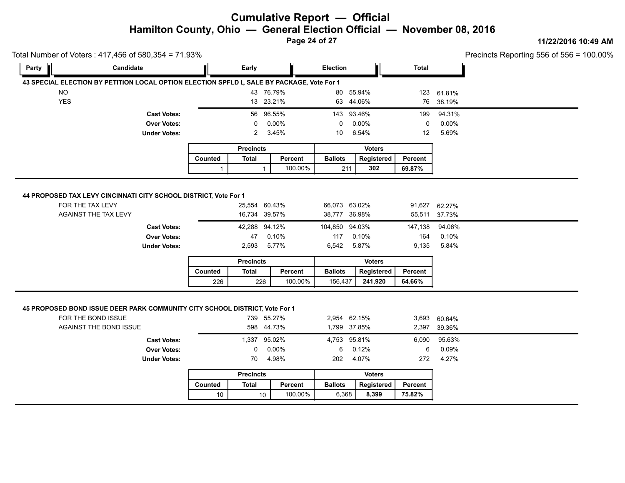**Page 24 of 27**

### **11/22/2016 10:49 AM**

| Total Number of Voters: 417,456 of 580,354 = 71.93%                                                                               |                                                                 |             |                                                  |                |                                              |                        |                         |                                  | Precincts Reporting 556 of 556 = $\frac{1}{2}$ |
|-----------------------------------------------------------------------------------------------------------------------------------|-----------------------------------------------------------------|-------------|--------------------------------------------------|----------------|----------------------------------------------|------------------------|-------------------------|----------------------------------|------------------------------------------------|
| Party                                                                                                                             | Candidate                                                       |             | Early                                            |                | Election                                     |                        | <b>Total</b>            |                                  |                                                |
| 43 SPECIAL ELECTION BY PETITION LOCAL OPTION ELECTION SPFLD L, SALE BY PACKAGE, Vote For 1                                        |                                                                 |             |                                                  |                |                                              |                        |                         |                                  |                                                |
| <b>NO</b>                                                                                                                         |                                                                 |             | 43 76.79%                                        |                | 80 55.94%                                    |                        |                         | 123 61.81%                       |                                                |
| <b>YES</b>                                                                                                                        |                                                                 |             | 13 23.21%                                        |                | 63 44.06%                                    |                        |                         | 76 38.19%                        |                                                |
|                                                                                                                                   | <b>Cast Votes:</b>                                              |             | 56                                               | 96.55%         | 143 93.46%                                   |                        | 199                     | 94.31%                           |                                                |
|                                                                                                                                   | <b>Over Votes:</b>                                              |             | 0                                                | 0.00%          | 0                                            | 0.00%                  | 0                       | $0.00\%$                         |                                                |
|                                                                                                                                   | <b>Under Votes:</b>                                             |             | 2                                                | 3.45%          | 10                                           | 6.54%                  | 12                      | 5.69%                            |                                                |
|                                                                                                                                   |                                                                 |             | <b>Precincts</b>                                 |                |                                              | <b>Voters</b>          |                         |                                  |                                                |
|                                                                                                                                   |                                                                 | Counted     | <b>Total</b>                                     | Percent        | <b>Ballots</b>                               | Registered             | <b>Percent</b>          |                                  |                                                |
|                                                                                                                                   |                                                                 | $\mathbf 1$ | $\mathbf 1$                                      | 100.00%        | 211                                          | 302                    | 69.87%                  |                                  |                                                |
|                                                                                                                                   | <b>Cast Votes:</b><br><b>Over Votes:</b><br><b>Under Votes:</b> |             | 42,288 94.12%<br>47<br>2,593<br><b>Precincts</b> | 0.10%<br>5.77% | 104,850 94.03%<br>117<br>6,542 5.87%         | 0.10%<br><b>Voters</b> | 147,138<br>164<br>9,135 | 94.06%<br>0.10%<br>5.84%         |                                                |
|                                                                                                                                   |                                                                 | Counted     | <b>Total</b>                                     | Percent        | <b>Ballots</b>                               | Registered             | Percent                 |                                  |                                                |
|                                                                                                                                   |                                                                 | 226         | 226                                              | 100.00%        | 156,437                                      | 241,920                | 64.66%                  |                                  |                                                |
| 45 PROPOSED BOND ISSUE DEER PARK COMMUNITY CITY SCHOOL DISTRICT Vote For 1<br>FOR THE BOND ISSUE<br><b>AGAINST THE BOND ISSUE</b> | <b>Cast Votes:</b>                                              |             | 739 55.27%<br>598 44.73%<br>1,337 95.02%         |                | 2,954 62.15%<br>1,799 37.85%<br>4,753 95.81% |                        | 2,397<br>6,090          | 3,693 60.64%<br>39.36%<br>95.63% |                                                |
|                                                                                                                                   | <b>Over Votes:</b><br><b>Under Votes:</b>                       |             | 0<br>70                                          | 0.00%<br>4.98% | 6<br>202                                     | 0.12%<br>4.07%         | 6<br>272                | 0.09%<br>4.27%                   |                                                |
|                                                                                                                                   |                                                                 |             |                                                  |                |                                              |                        |                         |                                  |                                                |
|                                                                                                                                   |                                                                 |             | <b>Precincts</b>                                 |                |                                              | <b>Voters</b>          |                         |                                  |                                                |

|         | <b>Precincts</b> |         |                | <b>Voters</b> |                |
|---------|------------------|---------|----------------|---------------|----------------|
| Counted | Total            | Percent | <b>Ballots</b> | Reaistered    | <b>Percent</b> |
| 10      | 10               | 100.00% | 6.368          | 8.399         | 75.82%         |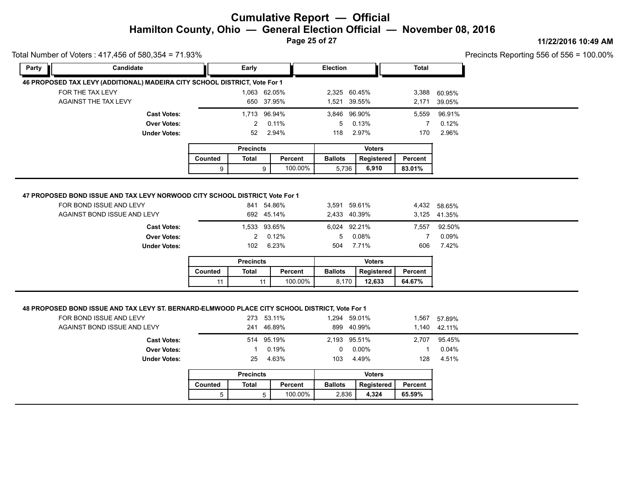**Page 25 of 27**

### **11/22/2016 10:49 AM**

|                                           |                             |                                           |                                |                                                                                                                                                                                                                                                          |                                 |                                                                                       |                          | Precincts Reporting 556 of 556 = |
|-------------------------------------------|-----------------------------|-------------------------------------------|--------------------------------|----------------------------------------------------------------------------------------------------------------------------------------------------------------------------------------------------------------------------------------------------------|---------------------------------|---------------------------------------------------------------------------------------|--------------------------|----------------------------------|
|                                           |                             | Early                                     |                                | Election                                                                                                                                                                                                                                                 |                                 | <b>Total</b>                                                                          |                          |                                  |
|                                           |                             |                                           |                                |                                                                                                                                                                                                                                                          |                                 |                                                                                       |                          |                                  |
|                                           |                             |                                           |                                |                                                                                                                                                                                                                                                          |                                 | 3,388                                                                                 | 60.95%                   |                                  |
|                                           |                             |                                           |                                |                                                                                                                                                                                                                                                          |                                 | 2,171                                                                                 | 39.05%                   |                                  |
| <b>Cast Votes:</b>                        |                             |                                           |                                |                                                                                                                                                                                                                                                          |                                 | 5,559                                                                                 | 96.91%                   |                                  |
| <b>Over Votes:</b>                        |                             | $\overline{2}$                            | 0.11%                          | 5                                                                                                                                                                                                                                                        | 0.13%                           | $\overline{7}$                                                                        | 0.12%                    |                                  |
| <b>Under Votes:</b>                       |                             | 52                                        | 2.94%                          | 118                                                                                                                                                                                                                                                      | 2.97%                           | 170                                                                                   | 2.96%                    |                                  |
|                                           |                             |                                           |                                |                                                                                                                                                                                                                                                          | <b>Voters</b>                   |                                                                                       |                          |                                  |
|                                           | Counted                     | <b>Total</b>                              | Percent                        | <b>Ballots</b>                                                                                                                                                                                                                                           | Registered                      | Percent                                                                               |                          |                                  |
|                                           | 9                           |                                           | 100.00%<br>9                   |                                                                                                                                                                                                                                                          | 6,910                           | 83.01%                                                                                |                          |                                  |
| <b>Cast Votes:</b>                        |                             |                                           |                                |                                                                                                                                                                                                                                                          |                                 |                                                                                       |                          |                                  |
| <b>Over Votes:</b><br><b>Under Votes:</b> |                             | $\overline{2}$<br>102<br><b>Precincts</b> | 1,533 93.65%<br>0.12%<br>6.23% | 6,024 92.21%<br>5<br>504                                                                                                                                                                                                                                 | 0.08%<br>7.71%<br><b>Voters</b> | 7,557<br>$\overline{7}$<br>606                                                        | 92.50%<br>0.09%<br>7.42% |                                  |
|                                           | Counted                     | <b>Total</b>                              | Percent                        | <b>Ballots</b>                                                                                                                                                                                                                                           | Registered                      | Percent                                                                               |                          |                                  |
|                                           | AGAINST BOND ISSUE AND LEVY |                                           |                                | 46 PROPOSED TAX LEVY (ADDITIONAL) MADEIRA CITY SCHOOL DISTRICT, Vote For 1<br>1,063 62.05%<br>650 37.95%<br>1,713 96.94%<br><b>Precincts</b><br>47 PROPOSED BOND ISSUE AND TAX LEVY NORWOOD CITY SCHOOL DISTRICT, Vote For 1<br>841 54.86%<br>692 45.14% |                                 | 2,325 60.45%<br>1,521 39.55%<br>3,846 96.90%<br>5,736<br>3,591 59.61%<br>2,433 40.39% |                          | 4,432 58.65%<br>3,125 41.35%     |

|         | <b>Precincts</b> |         |                | <b>Voters</b>     |         |
|---------|------------------|---------|----------------|-------------------|---------|
| Counted | Total            | Percent | <b>Ballots</b> | <b>Registered</b> | Percent |
|         |                  | 100.00% | 2.836          | 4.324             | 65.59%  |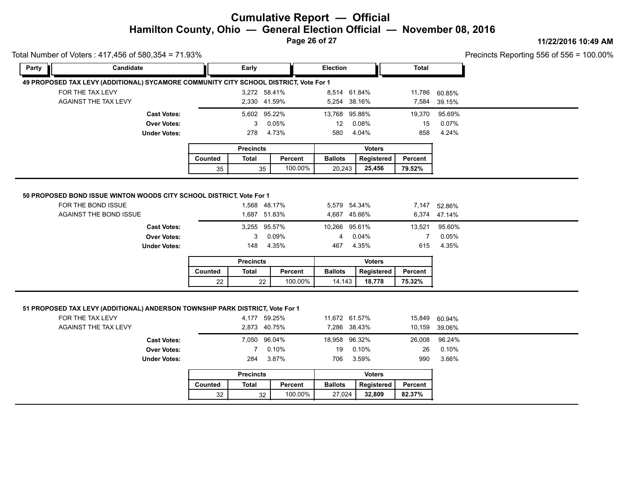**Page 26 of 27**

Total Number of Voters : 417,456 of 580,354 = 71.93%

### **11/22/2016 10:49 AM**

Precincts Reporting 556 of 556 = 100.00%

| Party | Candidate                                                                                                                 |                | Early                                    |                | Election                                  |                | <b>Total</b>                |                                    |  |
|-------|---------------------------------------------------------------------------------------------------------------------------|----------------|------------------------------------------|----------------|-------------------------------------------|----------------|-----------------------------|------------------------------------|--|
|       | 49 PROPOSED TAX LEVY (ADDITIONAL) SYCAMORE COMMUNITY CITY SCHOOL DISTRICT, Vote For 1                                     |                |                                          |                |                                           |                |                             |                                    |  |
|       | FOR THE TAX LEVY                                                                                                          |                | 3,272 58.41%                             |                | 8,514 61.84%                              |                | 11,786                      | 60.85%                             |  |
|       | AGAINST THE TAX LEVY                                                                                                      |                | 2,330 41.59%                             |                | 5,254 38.16%                              |                |                             | 7,584 39.15%                       |  |
|       | <b>Cast Votes:</b>                                                                                                        |                | 5,602 95.22%                             |                | 13,768 95.88%                             |                | 19,370                      | 95.69%                             |  |
|       | <b>Over Votes:</b>                                                                                                        |                | 3                                        | 0.05%          | 12                                        | 0.08%          | 15                          | 0.07%                              |  |
|       | <b>Under Votes:</b>                                                                                                       |                | 278                                      | 4.73%          | 580                                       | 4.04%          | 858                         | 4.24%                              |  |
|       |                                                                                                                           |                | <b>Precincts</b>                         |                |                                           | <b>Voters</b>  |                             |                                    |  |
|       |                                                                                                                           | <b>Counted</b> | <b>Total</b>                             | Percent        | <b>Ballots</b>                            | Registered     | Percent                     |                                    |  |
|       |                                                                                                                           | 35             | 35                                       | 100.00%        | 20,243                                    | 25,456         | 79.52%                      |                                    |  |
|       | AGAINST THE BOND ISSUE<br><b>Cast Votes:</b><br><b>Over Votes:</b><br><b>Under Votes:</b>                                 |                | 1,687 51.83%<br>3,255 95.57%<br>3<br>148 | 0.09%<br>4.35% | 4,687 45.66%<br>10,266 95.61%<br>4<br>467 | 0.04%<br>4.35% | 6,374<br>13,521<br>7<br>615 | 47.14%<br>95.60%<br>0.05%<br>4.35% |  |
|       |                                                                                                                           |                | <b>Precincts</b>                         |                |                                           | <b>Voters</b>  |                             |                                    |  |
|       |                                                                                                                           | Counted        | <b>Total</b>                             | Percent        | <b>Ballots</b>                            | Registered     | Percent                     |                                    |  |
|       |                                                                                                                           | 22             | 22                                       | 100.00%        | 14,143                                    | 18,778         | 75.32%                      |                                    |  |
|       | 51 PROPOSED TAX LEVY (ADDITIONAL) ANDERSON TOWNSHIP PARK DISTRICT, Vote For 1<br>FOR THE TAX LEVY<br>AGAINST THE TAX LEVY |                | 4,177 59.25%<br>2,873 40.75%             |                | 11,672 61.57%<br>7,286 38.43%             |                | 15,849<br>10,159            | 60.94%<br>39.06%                   |  |
|       | <b>Cast Votes:</b>                                                                                                        |                | 7,050 96.04%                             |                | 18,958 96.32%                             |                | 26,008                      | 96.24%                             |  |
|       | <b>Over Votes:</b>                                                                                                        |                | 7                                        | 0.10%          | 19                                        | 0.10%          | 26                          | 0.10%                              |  |

|         | <b>Precincts</b> |         |                | <b>Voters</b> |         |
|---------|------------------|---------|----------------|---------------|---------|
| Counted | Total            | Percent | <b>Ballots</b> | Registered    | Percent |
| 32      | 32               | 100.00% | 27.024         | 32.809        | 82.37%  |

3.87% 706 990

0.10% 26 0.10% 3.59% 3.66%

**Under Votes:** 284